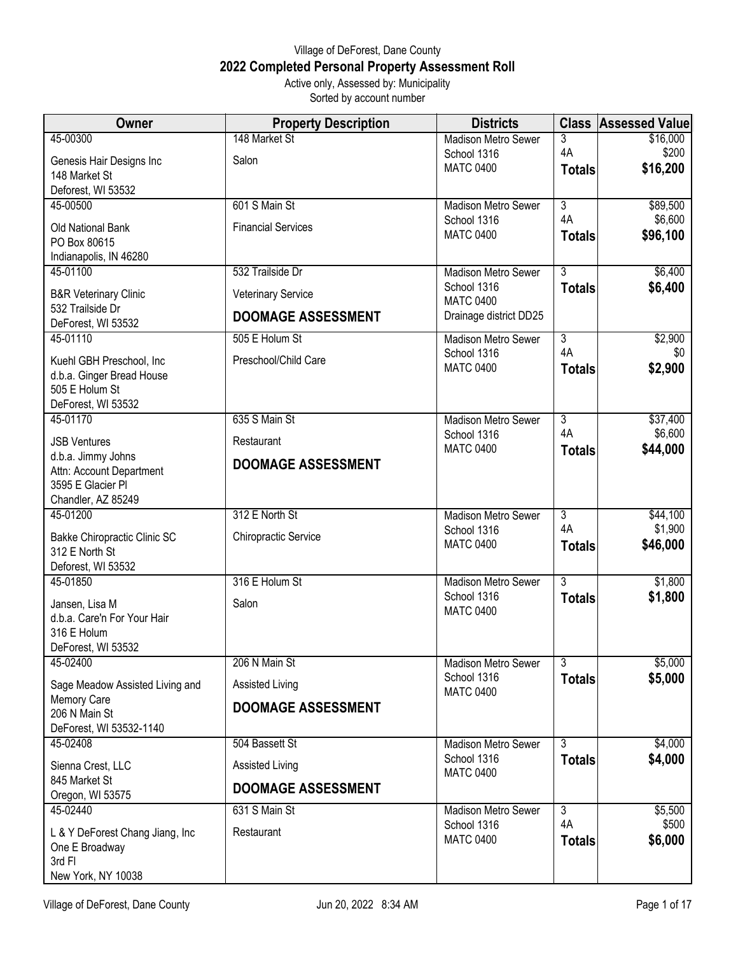## Village of DeForest, Dane County **2022 Completed Personal Property Assessment Roll** Active only, Assessed by: Municipality

Sorted by account number

| Owner                                          | <b>Property Description</b> | <b>Districts</b>                          |                      | <b>Class Assessed Value</b> |
|------------------------------------------------|-----------------------------|-------------------------------------------|----------------------|-----------------------------|
| 45-00300                                       | 148 Market St               | <b>Madison Metro Sewer</b>                | 3                    | \$16,000                    |
| Genesis Hair Designs Inc                       | Salon                       | School 1316<br><b>MATC 0400</b>           | 4A                   | \$200<br>\$16,200           |
| 148 Market St                                  |                             |                                           | <b>Totals</b>        |                             |
| Deforest, WI 53532<br>45-00500                 | 601 S Main St               |                                           | $\overline{3}$       | \$89,500                    |
|                                                |                             | Madison Metro Sewer<br>School 1316        | 4A                   | \$6,600                     |
| Old National Bank                              | <b>Financial Services</b>   | <b>MATC 0400</b>                          | <b>Totals</b>        | \$96,100                    |
| PO Box 80615<br>Indianapolis, IN 46280         |                             |                                           |                      |                             |
| 45-01100                                       | 532 Trailside Dr            | <b>Madison Metro Sewer</b>                | $\overline{3}$       | \$6,400                     |
| <b>B&amp;R Veterinary Clinic</b>               | <b>Veterinary Service</b>   | School 1316                               | <b>Totals</b>        | \$6,400                     |
| 532 Trailside Dr                               |                             | <b>MATC 0400</b>                          |                      |                             |
| DeForest, WI 53532                             | <b>DOOMAGE ASSESSMENT</b>   | Drainage district DD25                    |                      |                             |
| 45-01110                                       | 505 E Holum St              | <b>Madison Metro Sewer</b><br>School 1316 | $\overline{3}$<br>4A | \$2,900<br>\$0              |
| Kuehl GBH Preschool, Inc                       | Preschool/Child Care        | <b>MATC 0400</b>                          | <b>Totals</b>        | \$2,900                     |
| d.b.a. Ginger Bread House<br>505 E Holum St    |                             |                                           |                      |                             |
| DeForest, WI 53532                             |                             |                                           |                      |                             |
| 45-01170                                       | 635 S Main St               | <b>Madison Metro Sewer</b>                | $\overline{3}$       | \$37,400                    |
| <b>JSB Ventures</b>                            | Restaurant                  | School 1316                               | 4A                   | \$6,600                     |
| d.b.a. Jimmy Johns                             | <b>DOOMAGE ASSESSMENT</b>   | <b>MATC 0400</b>                          | <b>Totals</b>        | \$44,000                    |
| Attn: Account Department                       |                             |                                           |                      |                             |
| 3595 E Glacier Pl<br>Chandler, AZ 85249        |                             |                                           |                      |                             |
| 45-01200                                       | 312 E North St              | <b>Madison Metro Sewer</b>                | 3                    | \$44,100                    |
|                                                |                             | School 1316                               | 4A                   | \$1,900                     |
| Bakke Chiropractic Clinic SC<br>312 E North St | Chiropractic Service        | <b>MATC 0400</b>                          | <b>Totals</b>        | \$46,000                    |
| Deforest, WI 53532                             |                             |                                           |                      |                             |
| 45-01850                                       | 316 E Holum St              | Madison Metro Sewer                       | $\overline{3}$       | \$1,800                     |
| Jansen, Lisa M                                 | Salon                       | School 1316                               | <b>Totals</b>        | \$1,800                     |
| d.b.a. Care'n For Your Hair                    |                             | <b>MATC 0400</b>                          |                      |                             |
| 316 E Holum                                    |                             |                                           |                      |                             |
| DeForest, WI 53532<br>45-02400                 | 206 N Main St               | <b>Madison Metro Sewer</b>                | $\overline{3}$       | \$5,000                     |
|                                                | Assisted Living             | School 1316                               | <b>Totals</b>        | \$5,000                     |
| Sage Meadow Assisted Living and<br>Memory Care |                             | <b>MATC 0400</b>                          |                      |                             |
| 206 N Main St                                  | <b>DOOMAGE ASSESSMENT</b>   |                                           |                      |                             |
| DeForest, WI 53532-1140                        |                             |                                           |                      |                             |
| 45-02408                                       | 504 Bassett St              | <b>Madison Metro Sewer</b><br>School 1316 | $\overline{3}$       | \$4,000                     |
| Sienna Crest, LLC                              | Assisted Living             | <b>MATC 0400</b>                          | <b>Totals</b>        | \$4,000                     |
| 845 Market St<br>Oregon, WI 53575              | <b>DOOMAGE ASSESSMENT</b>   |                                           |                      |                             |
| 45-02440                                       | 631 S Main St               | <b>Madison Metro Sewer</b>                | $\overline{3}$       | \$5,500                     |
| L & Y DeForest Chang Jiang, Inc                | Restaurant                  | School 1316                               | 4A                   | \$500                       |
| One E Broadway                                 |                             | <b>MATC 0400</b>                          | <b>Totals</b>        | \$6,000                     |
| 3rd FI                                         |                             |                                           |                      |                             |
| New York, NY 10038                             |                             |                                           |                      |                             |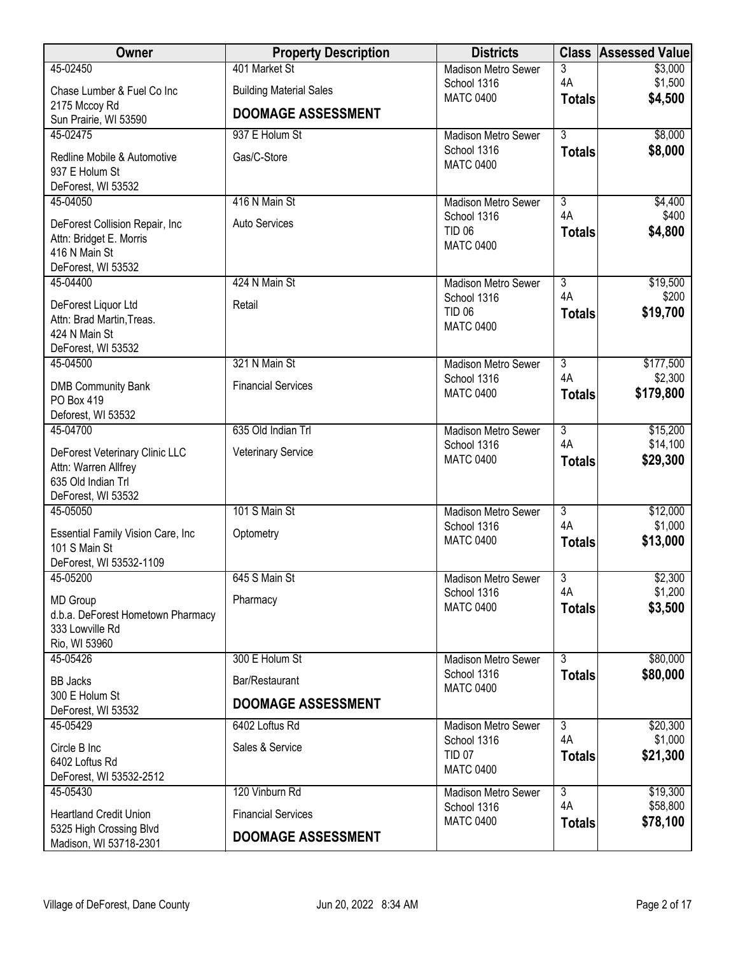| Owner                                                     | <b>Property Description</b>    | <b>Districts</b>                | <b>Class</b>                    | <b>Assessed Value</b> |
|-----------------------------------------------------------|--------------------------------|---------------------------------|---------------------------------|-----------------------|
| 45-02450                                                  | 401 Market St                  | <b>Madison Metro Sewer</b>      | 3                               | \$3,000               |
| Chase Lumber & Fuel Co Inc                                | <b>Building Material Sales</b> | School 1316<br><b>MATC 0400</b> | 4A                              | \$1,500<br>\$4,500    |
| 2175 Mccoy Rd                                             | <b>DOOMAGE ASSESSMENT</b>      |                                 | <b>Totals</b>                   |                       |
| Sun Prairie, WI 53590<br>45-02475                         | 937 E Holum St                 | <b>Madison Metro Sewer</b>      | $\overline{3}$                  | \$8,000               |
|                                                           |                                | School 1316                     | <b>Totals</b>                   | \$8,000               |
| Redline Mobile & Automotive                               | Gas/C-Store                    | <b>MATC 0400</b>                |                                 |                       |
| 937 E Holum St<br>DeForest, WI 53532                      |                                |                                 |                                 |                       |
| 45-04050                                                  | 416 N Main St                  | <b>Madison Metro Sewer</b>      | $\overline{3}$                  | \$4,400               |
|                                                           |                                | School 1316                     | 4A                              | \$400                 |
| DeForest Collision Repair, Inc<br>Attn: Bridget E. Morris | Auto Services                  | <b>TID 06</b>                   | <b>Totals</b>                   | \$4,800               |
| 416 N Main St                                             |                                | <b>MATC 0400</b>                |                                 |                       |
| DeForest, WI 53532                                        |                                |                                 |                                 |                       |
| 45-04400                                                  | 424 N Main St                  | <b>Madison Metro Sewer</b>      | $\overline{3}$                  | \$19,500              |
| DeForest Liquor Ltd                                       | Retail                         | School 1316<br><b>TID 06</b>    | 4A                              | \$200                 |
| Attn: Brad Martin, Treas.                                 |                                | <b>MATC 0400</b>                | <b>Totals</b>                   | \$19,700              |
| 424 N Main St                                             |                                |                                 |                                 |                       |
| DeForest, WI 53532<br>45-04500                            | 321 N Main St                  | <b>Madison Metro Sewer</b>      | $\overline{3}$                  | \$177,500             |
|                                                           |                                | School 1316                     | 4A                              | \$2,300               |
| <b>DMB Community Bank</b>                                 | <b>Financial Services</b>      | <b>MATC 0400</b>                | <b>Totals</b>                   | \$179,800             |
| PO Box 419<br>Deforest, WI 53532                          |                                |                                 |                                 |                       |
| 45-04700                                                  | 635 Old Indian Trl             | <b>Madison Metro Sewer</b>      | $\overline{3}$                  | \$15,200              |
| DeForest Veterinary Clinic LLC                            | <b>Veterinary Service</b>      | School 1316                     | 4A                              | \$14,100              |
| Attn: Warren Allfrey                                      |                                | <b>MATC 0400</b>                | <b>Totals</b>                   | \$29,300              |
| 635 Old Indian Trl                                        |                                |                                 |                                 |                       |
| DeForest, WI 53532                                        |                                |                                 |                                 |                       |
| 45-05050                                                  | 101 S Main St                  | <b>Madison Metro Sewer</b>      | $\overline{\overline{3}}$<br>4A | \$12,000              |
| Essential Family Vision Care, Inc                         | Optometry                      | School 1316<br><b>MATC 0400</b> | <b>Totals</b>                   | \$1,000<br>\$13,000   |
| 101 S Main St                                             |                                |                                 |                                 |                       |
| DeForest, WI 53532-1109<br>45-05200                       | 645 S Main St                  | Madison Metro Sewer             | $\overline{3}$                  | \$2,300               |
|                                                           |                                | School 1316                     | 4A                              | \$1,200               |
| <b>MD Group</b>                                           | Pharmacy                       | <b>MATC 0400</b>                | <b>Totals</b>                   | \$3,500               |
| d.b.a. DeForest Hometown Pharmacy<br>333 Lowville Rd      |                                |                                 |                                 |                       |
| Rio, WI 53960                                             |                                |                                 |                                 |                       |
| 45-05426                                                  | 300 E Holum St                 | <b>Madison Metro Sewer</b>      | $\overline{3}$                  | \$80,000              |
| <b>BB Jacks</b>                                           | Bar/Restaurant                 | School 1316                     | <b>Totals</b>                   | \$80,000              |
| 300 E Holum St                                            |                                | <b>MATC 0400</b>                |                                 |                       |
| DeForest, WI 53532                                        | <b>DOOMAGE ASSESSMENT</b>      |                                 |                                 |                       |
| 45-05429                                                  | 6402 Loftus Rd                 | <b>Madison Metro Sewer</b>      | $\overline{3}$                  | \$20,300              |
| Circle B Inc                                              | Sales & Service                | School 1316<br><b>TID 07</b>    | 4A<br><b>Totals</b>             | \$1,000<br>\$21,300   |
| 6402 Loftus Rd                                            |                                | <b>MATC 0400</b>                |                                 |                       |
| DeForest, WI 53532-2512<br>45-05430                       | 120 Vinburn Rd                 | <b>Madison Metro Sewer</b>      | $\overline{3}$                  | \$19,300              |
|                                                           |                                | School 1316                     | 4A                              | \$58,800              |
| <b>Heartland Credit Union</b><br>5325 High Crossing Blvd  | <b>Financial Services</b>      | <b>MATC 0400</b>                | <b>Totals</b>                   | \$78,100              |
| Madison, WI 53718-2301                                    | <b>DOOMAGE ASSESSMENT</b>      |                                 |                                 |                       |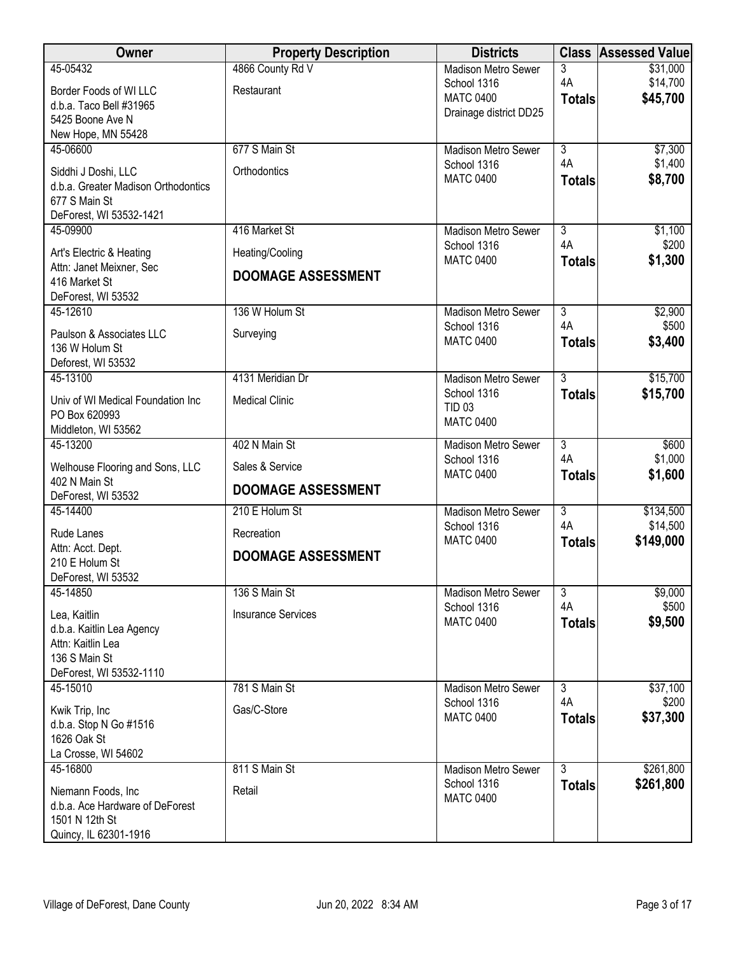| Owner                                 | <b>Property Description</b> | <b>Districts</b>                          | <b>Class</b>                    | <b>Assessed Value</b> |
|---------------------------------------|-----------------------------|-------------------------------------------|---------------------------------|-----------------------|
| 45-05432                              | 4866 County Rd V            | <b>Madison Metro Sewer</b>                | 3                               | \$31,000              |
| Border Foods of WI LLC                | Restaurant                  | School 1316<br><b>MATC 0400</b>           | 4A                              | \$14,700<br>\$45,700  |
| d.b.a. Taco Bell #31965               |                             | Drainage district DD25                    | <b>Totals</b>                   |                       |
| 5425 Boone Ave N                      |                             |                                           |                                 |                       |
| New Hope, MN 55428                    |                             |                                           |                                 |                       |
| 45-06600                              | 677 S Main St               | <b>Madison Metro Sewer</b><br>School 1316 | $\overline{\overline{3}}$<br>4A | \$7,300<br>\$1,400    |
| Siddhi J Doshi, LLC                   | Orthodontics                | <b>MATC 0400</b>                          | <b>Totals</b>                   | \$8,700               |
| d.b.a. Greater Madison Orthodontics   |                             |                                           |                                 |                       |
| 677 S Main St                         |                             |                                           |                                 |                       |
| DeForest, WI 53532-1421<br>45-09900   | 416 Market St               | <b>Madison Metro Sewer</b>                | $\overline{3}$                  | \$1,100               |
| Art's Electric & Heating              | Heating/Cooling             | School 1316                               | 4A                              | \$200                 |
| Attn: Janet Meixner, Sec              | <b>DOOMAGE ASSESSMENT</b>   | <b>MATC 0400</b>                          | <b>Totals</b>                   | \$1,300               |
| 416 Market St                         |                             |                                           |                                 |                       |
| DeForest, WI 53532<br>45-12610        | 136 W Holum St              | <b>Madison Metro Sewer</b>                | $\overline{3}$                  |                       |
|                                       |                             | School 1316                               | 4A                              | \$2,900<br>\$500      |
| Paulson & Associates LLC              | Surveying                   | <b>MATC 0400</b>                          | <b>Totals</b>                   | \$3,400               |
| 136 W Holum St<br>Deforest, WI 53532  |                             |                                           |                                 |                       |
| 45-13100                              | 4131 Meridian Dr            | <b>Madison Metro Sewer</b>                | $\overline{3}$                  | \$15,700              |
| Univ of WI Medical Foundation Inc     | <b>Medical Clinic</b>       | School 1316                               | <b>Totals</b>                   | \$15,700              |
| PO Box 620993                         |                             | <b>TID 03</b>                             |                                 |                       |
| Middleton, WI 53562                   |                             | <b>MATC 0400</b>                          |                                 |                       |
| 45-13200                              | 402 N Main St               | <b>Madison Metro Sewer</b><br>School 1316 | $\overline{3}$<br>4A            | \$600<br>\$1,000      |
| Welhouse Flooring and Sons, LLC       | Sales & Service             | <b>MATC 0400</b>                          | <b>Totals</b>                   | \$1,600               |
| 402 N Main St                         | <b>DOOMAGE ASSESSMENT</b>   |                                           |                                 |                       |
| DeForest, WI 53532<br>45-14400        | 210 E Holum St              | <b>Madison Metro Sewer</b>                | $\overline{3}$                  | \$134,500             |
|                                       |                             | School 1316                               | 4A                              | \$14,500              |
| Rude Lanes                            | Recreation                  | <b>MATC 0400</b>                          | <b>Totals</b>                   | \$149,000             |
| Attn: Acct. Dept.<br>210 E Holum St   | <b>DOOMAGE ASSESSMENT</b>   |                                           |                                 |                       |
| DeForest, WI 53532                    |                             |                                           |                                 |                       |
| 45-14850                              | 136 S Main St               | <b>Madison Metro Sewer</b>                | $\overline{3}$                  | \$9,000               |
| Lea, Kaitlin                          | <b>Insurance Services</b>   | School 1316                               | 4A                              | \$500                 |
| d.b.a. Kaitlin Lea Agency             |                             | <b>MATC 0400</b>                          | <b>Totals</b>                   | \$9,500               |
| Attn: Kaitlin Lea                     |                             |                                           |                                 |                       |
| 136 S Main St                         |                             |                                           |                                 |                       |
| DeForest, WI 53532-1110               | 781 S Main St               |                                           |                                 |                       |
| 45-15010                              |                             | <b>Madison Metro Sewer</b><br>School 1316 | $\overline{3}$<br>4A            | \$37,100<br>\$200     |
| Kwik Trip, Inc                        | Gas/C-Store                 | <b>MATC 0400</b>                          | <b>Totals</b>                   | \$37,300              |
| d.b.a. Stop N Go #1516<br>1626 Oak St |                             |                                           |                                 |                       |
| La Crosse, WI 54602                   |                             |                                           |                                 |                       |
| 45-16800                              | 811 S Main St               | <b>Madison Metro Sewer</b>                | $\overline{3}$                  | \$261,800             |
| Niemann Foods, Inc                    | Retail                      | School 1316                               | <b>Totals</b>                   | \$261,800             |
| d.b.a. Ace Hardware of DeForest       |                             | <b>MATC 0400</b>                          |                                 |                       |
| 1501 N 12th St                        |                             |                                           |                                 |                       |
| Quincy, IL 62301-1916                 |                             |                                           |                                 |                       |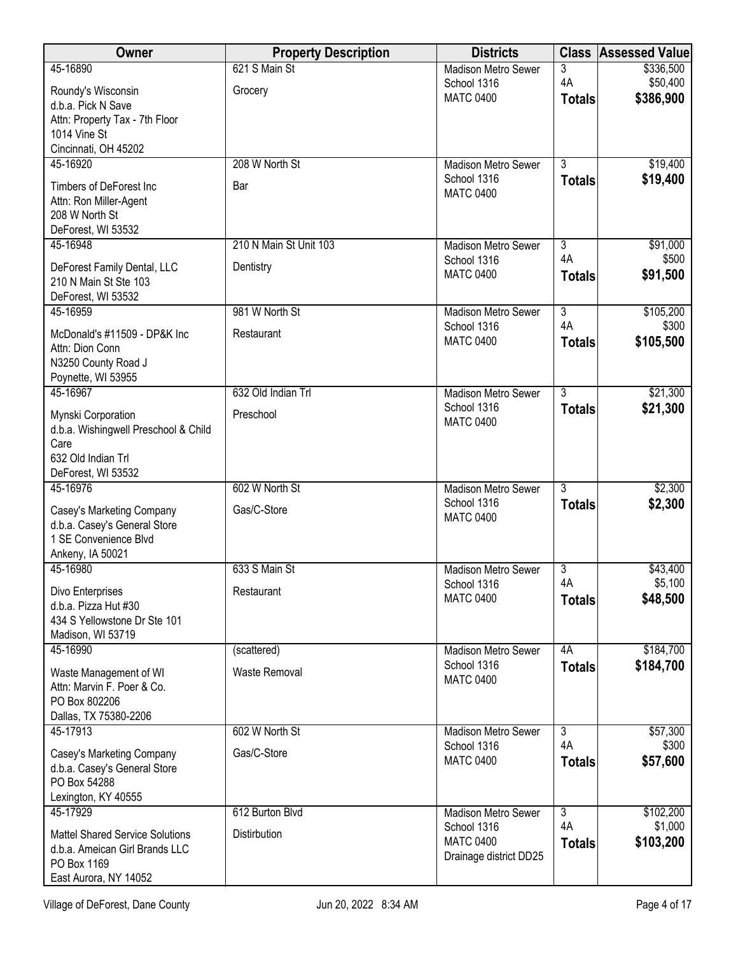| Owner                                                | <b>Property Description</b> | <b>Districts</b>                          | <b>Class</b>        | <b>Assessed Value</b> |
|------------------------------------------------------|-----------------------------|-------------------------------------------|---------------------|-----------------------|
| 45-16890                                             | 621 S Main St               | <b>Madison Metro Sewer</b>                | 3                   | \$336,500             |
| Roundy's Wisconsin                                   | Grocery                     | School 1316                               | 4A                  | \$50,400              |
| d.b.a. Pick N Save                                   |                             | <b>MATC 0400</b>                          | <b>Totals</b>       | \$386,900             |
| Attn: Property Tax - 7th Floor                       |                             |                                           |                     |                       |
| 1014 Vine St                                         |                             |                                           |                     |                       |
| Cincinnati, OH 45202                                 |                             |                                           |                     |                       |
| 45-16920                                             | 208 W North St              | <b>Madison Metro Sewer</b><br>School 1316 | $\overline{3}$      | \$19,400              |
| Timbers of DeForest Inc                              | Bar                         | <b>MATC 0400</b>                          | <b>Totals</b>       | \$19,400              |
| Attn: Ron Miller-Agent                               |                             |                                           |                     |                       |
| 208 W North St<br>DeForest, WI 53532                 |                             |                                           |                     |                       |
| 45-16948                                             | 210 N Main St Unit 103      | <b>Madison Metro Sewer</b>                | $\overline{3}$      | \$91,000              |
|                                                      |                             | School 1316                               | 4A                  | \$500                 |
| DeForest Family Dental, LLC                          | Dentistry                   | <b>MATC 0400</b>                          | <b>Totals</b>       | \$91,500              |
| 210 N Main St Ste 103<br>DeForest, WI 53532          |                             |                                           |                     |                       |
| 45-16959                                             | 981 W North St              | <b>Madison Metro Sewer</b>                | $\overline{3}$      | \$105,200             |
|                                                      |                             | School 1316                               | 4A                  | \$300                 |
| McDonald's #11509 - DP&K Inc<br>Attn: Dion Conn      | Restaurant                  | <b>MATC 0400</b>                          | <b>Totals</b>       | \$105,500             |
| N3250 County Road J                                  |                             |                                           |                     |                       |
| Poynette, WI 53955                                   |                             |                                           |                     |                       |
| 45-16967                                             | 632 Old Indian Trl          | <b>Madison Metro Sewer</b>                | $\overline{3}$      | \$21,300              |
| Mynski Corporation                                   | Preschool                   | School 1316                               | <b>Totals</b>       | \$21,300              |
| d.b.a. Wishingwell Preschool & Child                 |                             | <b>MATC 0400</b>                          |                     |                       |
| Care                                                 |                             |                                           |                     |                       |
| 632 Old Indian Trl                                   |                             |                                           |                     |                       |
| DeForest, WI 53532                                   |                             |                                           |                     |                       |
| 45-16976                                             | 602 W North St              | <b>Madison Metro Sewer</b>                | 3                   | \$2,300               |
| Casey's Marketing Company                            | Gas/C-Store                 | School 1316<br><b>MATC 0400</b>           | <b>Totals</b>       | \$2,300               |
| d.b.a. Casey's General Store                         |                             |                                           |                     |                       |
| 1 SE Convenience Blvd                                |                             |                                           |                     |                       |
| Ankeny, IA 50021<br>45-16980                         | 633 S Main St               | <b>Madison Metro Sewer</b>                | 3                   | \$43,400              |
|                                                      |                             | School 1316                               | 4A                  | \$5,100               |
| Divo Enterprises                                     | Restaurant                  | <b>MATC 0400</b>                          | <b>Totals</b>       | \$48,500              |
| d.b.a. Pizza Hut #30<br>434 S Yellowstone Dr Ste 101 |                             |                                           |                     |                       |
| Madison, WI 53719                                    |                             |                                           |                     |                       |
| 45-16990                                             | (scattered)                 | <b>Madison Metro Sewer</b>                | 4A                  | \$184,700             |
| Waste Management of WI                               | Waste Removal               | School 1316                               | <b>Totals</b>       | \$184,700             |
| Attn: Marvin F. Poer & Co.                           |                             | <b>MATC 0400</b>                          |                     |                       |
| PO Box 802206                                        |                             |                                           |                     |                       |
| Dallas, TX 75380-2206                                |                             |                                           |                     |                       |
| 45-17913                                             | 602 W North St              | <b>Madison Metro Sewer</b>                | $\overline{3}$      | \$57,300              |
| Casey's Marketing Company                            | Gas/C-Store                 | School 1316                               | 4A                  | \$300                 |
| d.b.a. Casey's General Store                         |                             | <b>MATC 0400</b>                          | <b>Totals</b>       | \$57,600              |
| PO Box 54288                                         |                             |                                           |                     |                       |
| Lexington, KY 40555                                  |                             |                                           |                     |                       |
| 45-17929                                             | 612 Burton Blvd             | <b>Madison Metro Sewer</b>                | $\overline{3}$      | \$102,200             |
| <b>Mattel Shared Service Solutions</b>               | Distirbution                | School 1316<br><b>MATC 0400</b>           | 4A<br><b>Totals</b> | \$1,000<br>\$103,200  |
| d.b.a. Ameican Girl Brands LLC                       |                             | Drainage district DD25                    |                     |                       |
| PO Box 1169                                          |                             |                                           |                     |                       |
| East Aurora, NY 14052                                |                             |                                           |                     |                       |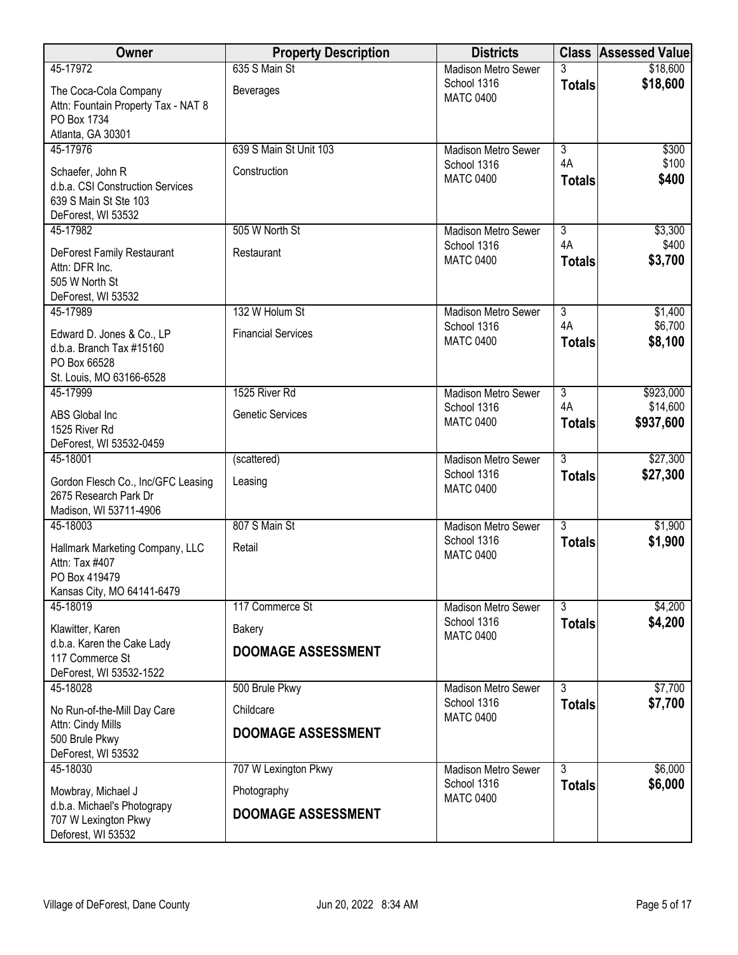| Owner                                                                                               | <b>Property Description</b> | <b>Districts</b>                |                           | <b>Class Assessed Value</b> |
|-----------------------------------------------------------------------------------------------------|-----------------------------|---------------------------------|---------------------------|-----------------------------|
| 45-17972                                                                                            | 635 S Main St               | <b>Madison Metro Sewer</b>      | 3                         | \$18,600                    |
| The Coca-Cola Company<br>Attn: Fountain Property Tax - NAT 8<br>PO Box 1734<br>Atlanta, GA 30301    | <b>Beverages</b>            | School 1316<br><b>MATC 0400</b> | <b>Totals</b>             | \$18,600                    |
| 45-17976                                                                                            | 639 S Main St Unit 103      | <b>Madison Metro Sewer</b>      | $\overline{3}$            | \$300                       |
| Schaefer, John R<br>d.b.a. CSI Construction Services<br>639 S Main St Ste 103<br>DeForest, WI 53532 | Construction                | School 1316<br><b>MATC 0400</b> | 4A<br><b>Totals</b>       | \$100<br>\$400              |
| 45-17982                                                                                            | 505 W North St              | <b>Madison Metro Sewer</b>      | $\overline{3}$            | \$3,300                     |
| DeForest Family Restaurant<br>Attn: DFR Inc.<br>505 W North St<br>DeForest, WI 53532                | Restaurant                  | School 1316<br><b>MATC 0400</b> | 4A<br><b>Totals</b>       | \$400<br>\$3,700            |
| 45-17989                                                                                            | 132 W Holum St              | <b>Madison Metro Sewer</b>      | $\overline{3}$            | \$1,400                     |
| Edward D. Jones & Co., LP<br>d.b.a. Branch Tax #15160<br>PO Box 66528<br>St. Louis, MO 63166-6528   | <b>Financial Services</b>   | School 1316<br><b>MATC 0400</b> | 4A<br><b>Totals</b>       | \$6,700<br>\$8,100          |
| 45-17999                                                                                            | 1525 River Rd               | <b>Madison Metro Sewer</b>      | $\overline{3}$            | \$923,000                   |
| ABS Global Inc<br>1525 River Rd<br>DeForest, WI 53532-0459                                          | <b>Genetic Services</b>     | School 1316<br><b>MATC 0400</b> | 4A<br><b>Totals</b>       | \$14,600<br>\$937,600       |
| 45-18001                                                                                            | (scattered)                 | <b>Madison Metro Sewer</b>      | $\overline{3}$            | \$27,300                    |
| Gordon Flesch Co., Inc/GFC Leasing<br>2675 Research Park Dr<br>Madison, WI 53711-4906               | Leasing                     | School 1316<br><b>MATC 0400</b> | <b>Totals</b>             | \$27,300                    |
| 45-18003                                                                                            | 807 S Main St               | <b>Madison Metro Sewer</b>      | $\overline{3}$            | \$1,900                     |
| Hallmark Marketing Company, LLC<br>Attn: Tax #407<br>PO Box 419479                                  | Retail                      | School 1316<br><b>MATC 0400</b> | <b>Totals</b>             | \$1,900                     |
| Kansas City, MO 64141-6479<br>45-18019                                                              | 117 Commerce St             | <b>Madison Metro Sewer</b>      | $\overline{\overline{3}}$ | \$4,200                     |
| Klawitter, Karen                                                                                    | Bakery                      | School 1316                     | <b>Totals</b>             | \$4,200                     |
| d.b.a. Karen the Cake Lady<br>117 Commerce St<br>DeForest, WI 53532-1522                            | <b>DOOMAGE ASSESSMENT</b>   | <b>MATC 0400</b>                |                           |                             |
| 45-18028                                                                                            | 500 Brule Pkwy              | <b>Madison Metro Sewer</b>      | $\overline{3}$            | \$7,700                     |
| No Run-of-the-Mill Day Care                                                                         | Childcare                   | School 1316<br><b>MATC 0400</b> | <b>Totals</b>             | \$7,700                     |
| Attn: Cindy Mills<br>500 Brule Pkwy<br>DeForest, WI 53532                                           | <b>DOOMAGE ASSESSMENT</b>   |                                 |                           |                             |
| 45-18030                                                                                            | 707 W Lexington Pkwy        | <b>Madison Metro Sewer</b>      | 3                         | \$6,000                     |
| Mowbray, Michael J                                                                                  | Photography                 | School 1316<br><b>MATC 0400</b> | <b>Totals</b>             | \$6,000                     |
| d.b.a. Michael's Photograpy<br>707 W Lexington Pkwy<br>Deforest, WI 53532                           | <b>DOOMAGE ASSESSMENT</b>   |                                 |                           |                             |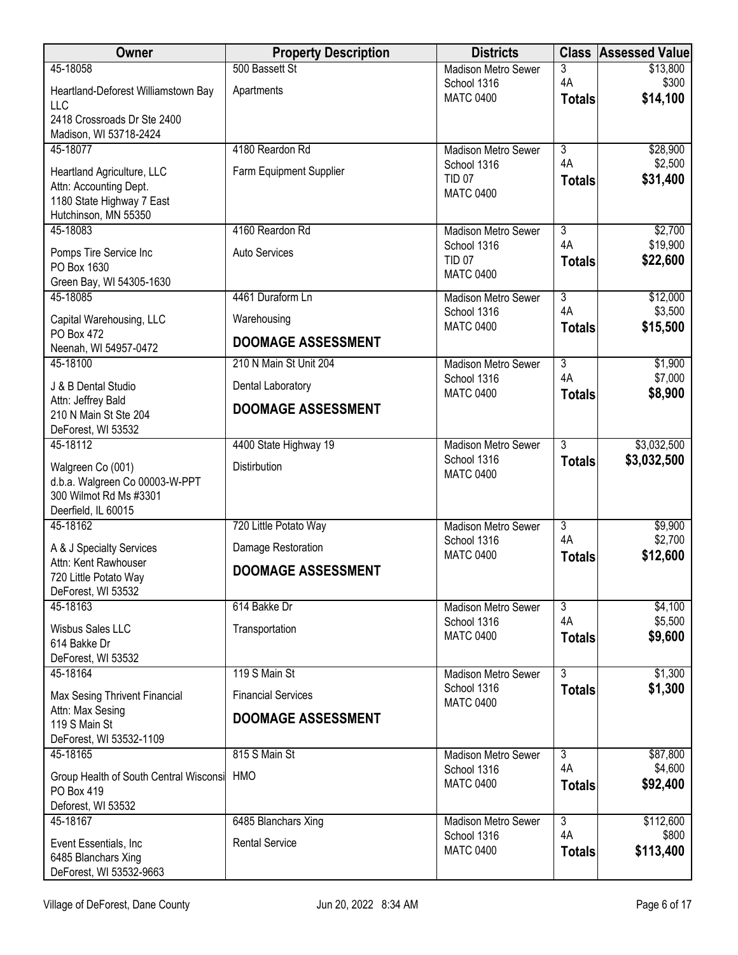| Owner                                               | <b>Property Description</b> | <b>Districts</b>                          | <b>Class</b>         | <b>Assessed Value</b> |
|-----------------------------------------------------|-----------------------------|-------------------------------------------|----------------------|-----------------------|
| 45-18058                                            | 500 Bassett St              | <b>Madison Metro Sewer</b>                | 3                    | \$13,800              |
| Heartland-Deforest Williamstown Bay                 | Apartments                  | School 1316                               | 4A                   | \$300                 |
| <b>LLC</b>                                          |                             | <b>MATC 0400</b>                          | <b>Totals</b>        | \$14,100              |
| 2418 Crossroads Dr Ste 2400                         |                             |                                           |                      |                       |
| Madison, WI 53718-2424                              |                             |                                           |                      |                       |
| 45-18077                                            | 4180 Reardon Rd             | <b>Madison Metro Sewer</b><br>School 1316 | $\overline{3}$<br>4A | \$28,900<br>\$2,500   |
| Heartland Agriculture, LLC                          | Farm Equipment Supplier     | <b>TID 07</b>                             | <b>Totals</b>        | \$31,400              |
| Attn: Accounting Dept.                              |                             | <b>MATC 0400</b>                          |                      |                       |
| 1180 State Highway 7 East                           |                             |                                           |                      |                       |
| Hutchinson, MN 55350<br>45-18083                    | 4160 Reardon Rd             | <b>Madison Metro Sewer</b>                | 3                    | \$2,700               |
|                                                     |                             | School 1316                               | 4A                   | \$19,900              |
| Pomps Tire Service Inc                              | <b>Auto Services</b>        | <b>TID 07</b>                             | <b>Totals</b>        | \$22,600              |
| PO Box 1630                                         |                             | <b>MATC 0400</b>                          |                      |                       |
| Green Bay, WI 54305-1630<br>45-18085                | 4461 Duraform Ln            | <b>Madison Metro Sewer</b>                | $\overline{3}$       | \$12,000              |
|                                                     |                             | School 1316                               | 4A                   | \$3,500               |
| Capital Warehousing, LLC                            | Warehousing                 | <b>MATC 0400</b>                          | <b>Totals</b>        | \$15,500              |
| <b>PO Box 472</b>                                   | <b>DOOMAGE ASSESSMENT</b>   |                                           |                      |                       |
| Neenah, WI 54957-0472<br>45-18100                   | 210 N Main St Unit 204      | <b>Madison Metro Sewer</b>                | $\overline{3}$       | \$1,900               |
|                                                     |                             | School 1316                               | 4A                   | \$7,000               |
| J & B Dental Studio                                 | Dental Laboratory           | <b>MATC 0400</b>                          | <b>Totals</b>        | \$8,900               |
| Attn: Jeffrey Bald<br>210 N Main St Ste 204         | <b>DOOMAGE ASSESSMENT</b>   |                                           |                      |                       |
| DeForest, WI 53532                                  |                             |                                           |                      |                       |
| 45-18112                                            | 4400 State Highway 19       | <b>Madison Metro Sewer</b>                | $\overline{3}$       | \$3,032,500           |
|                                                     |                             | School 1316                               | <b>Totals</b>        | \$3,032,500           |
| Walgreen Co (001)<br>d.b.a. Walgreen Co 00003-W-PPT | Distirbution                | <b>MATC 0400</b>                          |                      |                       |
| 300 Wilmot Rd Ms #3301                              |                             |                                           |                      |                       |
| Deerfield, IL 60015                                 |                             |                                           |                      |                       |
| 45-18162                                            | 720 Little Potato Way       | <b>Madison Metro Sewer</b>                | $\overline{3}$       | \$9,900               |
| A & J Specialty Services                            | Damage Restoration          | School 1316                               | 4A                   | \$2,700               |
| Attn: Kent Rawhouser                                |                             | <b>MATC 0400</b>                          | <b>Totals</b>        | \$12,600              |
| 720 Little Potato Way                               | <b>DOOMAGE ASSESSMENT</b>   |                                           |                      |                       |
| DeForest, WI 53532                                  |                             |                                           |                      |                       |
| 45-18163                                            | 614 Bakke Dr                | <b>Madison Metro Sewer</b>                | $\overline{3}$       | \$4,100               |
| Wisbus Sales LLC                                    | Transportation              | School 1316                               | 4A                   | \$5,500               |
| 614 Bakke Dr                                        |                             | <b>MATC 0400</b>                          | <b>Totals</b>        | \$9,600               |
| DeForest, WI 53532                                  |                             |                                           |                      |                       |
| 45-18164                                            | 119 S Main St               | <b>Madison Metro Sewer</b>                | $\overline{3}$       | \$1,300               |
| Max Sesing Thrivent Financial                       | <b>Financial Services</b>   | School 1316                               | <b>Totals</b>        | \$1,300               |
| Attn: Max Sesing                                    | <b>DOOMAGE ASSESSMENT</b>   | <b>MATC 0400</b>                          |                      |                       |
| 119 S Main St                                       |                             |                                           |                      |                       |
| DeForest, WI 53532-1109                             |                             |                                           |                      |                       |
| 45-18165                                            | 815 S Main St               | <b>Madison Metro Sewer</b><br>School 1316 | $\overline{3}$<br>4A | \$87,800<br>\$4,600   |
| Group Health of South Central Wisconsi              | <b>HMO</b>                  | <b>MATC 0400</b>                          | <b>Totals</b>        | \$92,400              |
| PO Box 419                                          |                             |                                           |                      |                       |
| Deforest, WI 53532                                  |                             |                                           |                      |                       |
| 45-18167                                            | 6485 Blanchars Xing         | <b>Madison Metro Sewer</b><br>School 1316 | $\overline{3}$<br>4A | \$112,600<br>\$800    |
| Event Essentials, Inc                               | <b>Rental Service</b>       | <b>MATC 0400</b>                          | <b>Totals</b>        | \$113,400             |
| 6485 Blanchars Xing                                 |                             |                                           |                      |                       |
| DeForest, WI 53532-9663                             |                             |                                           |                      |                       |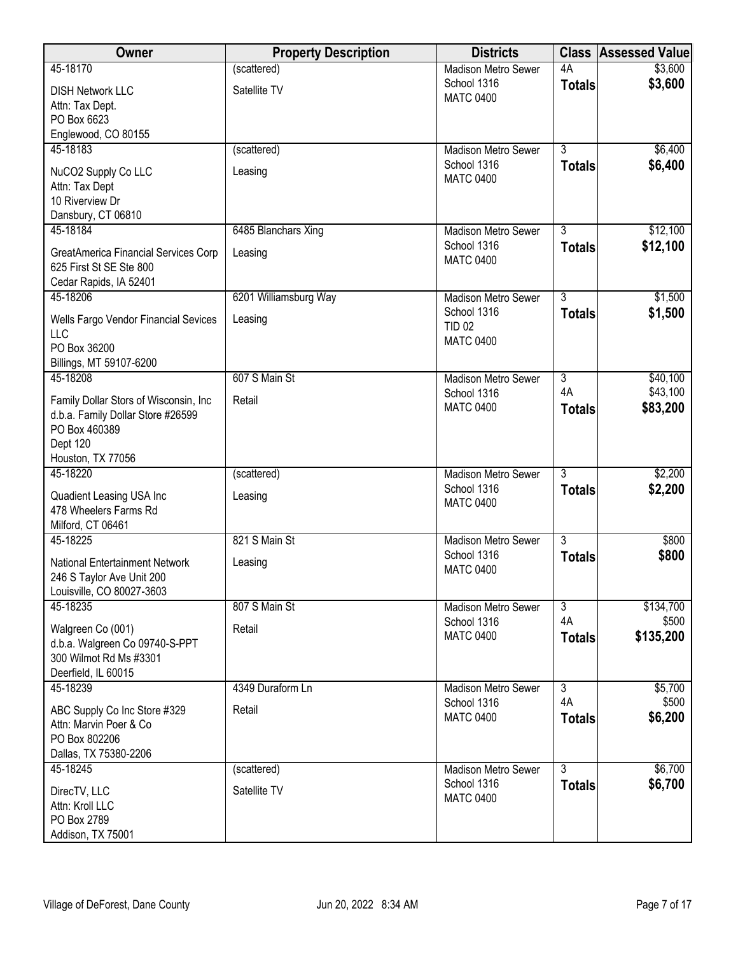| Owner                                                  | <b>Property Description</b> | <b>Districts</b>                          | <b>Class</b>   | <b>Assessed Value</b> |
|--------------------------------------------------------|-----------------------------|-------------------------------------------|----------------|-----------------------|
| 45-18170                                               | (scattered)                 | <b>Madison Metro Sewer</b>                | 4A             | \$3,600               |
| <b>DISH Network LLC</b>                                | Satellite TV                | School 1316<br><b>MATC 0400</b>           | <b>Totals</b>  | \$3,600               |
| Attn: Tax Dept.                                        |                             |                                           |                |                       |
| PO Box 6623<br>Englewood, CO 80155                     |                             |                                           |                |                       |
| 45-18183                                               | (scattered)                 | <b>Madison Metro Sewer</b>                | $\overline{3}$ | \$6,400               |
|                                                        |                             | School 1316                               | <b>Totals</b>  | \$6,400               |
| NuCO2 Supply Co LLC<br>Attn: Tax Dept                  | Leasing                     | <b>MATC 0400</b>                          |                |                       |
| 10 Riverview Dr                                        |                             |                                           |                |                       |
| Dansbury, CT 06810                                     |                             |                                           |                |                       |
| 45-18184                                               | 6485 Blanchars Xing         | <b>Madison Metro Sewer</b>                | $\overline{3}$ | \$12,100              |
| GreatAmerica Financial Services Corp                   | Leasing                     | School 1316                               | <b>Totals</b>  | \$12,100              |
| 625 First St SE Ste 800                                |                             | <b>MATC 0400</b>                          |                |                       |
| Cedar Rapids, IA 52401                                 |                             |                                           |                |                       |
| 45-18206                                               | 6201 Williamsburg Way       | <b>Madison Metro Sewer</b><br>School 1316 | $\overline{3}$ | \$1,500               |
| Wells Fargo Vendor Financial Sevices                   | Leasing                     | <b>TID 02</b>                             | <b>Totals</b>  | \$1,500               |
| <b>LLC</b>                                             |                             | <b>MATC 0400</b>                          |                |                       |
| PO Box 36200<br>Billings, MT 59107-6200                |                             |                                           |                |                       |
| 45-18208                                               | 607 S Main St               | <b>Madison Metro Sewer</b>                | $\overline{3}$ | \$40,100              |
| Family Dollar Stors of Wisconsin, Inc.                 | Retail                      | School 1316                               | 4A             | \$43,100              |
| d.b.a. Family Dollar Store #26599                      |                             | <b>MATC 0400</b>                          | <b>Totals</b>  | \$83,200              |
| PO Box 460389                                          |                             |                                           |                |                       |
| Dept 120                                               |                             |                                           |                |                       |
| Houston, TX 77056                                      |                             |                                           | $\overline{3}$ |                       |
| 45-18220                                               | (scattered)                 | <b>Madison Metro Sewer</b><br>School 1316 | <b>Totals</b>  | \$2,200<br>\$2,200    |
| Quadient Leasing USA Inc                               | Leasing                     | <b>MATC 0400</b>                          |                |                       |
| 478 Wheelers Farms Rd<br>Milford, CT 06461             |                             |                                           |                |                       |
| 45-18225                                               | 821 S Main St               | <b>Madison Metro Sewer</b>                | $\overline{3}$ | \$800                 |
| <b>National Entertainment Network</b>                  | Leasing                     | School 1316                               | <b>Totals</b>  | \$800                 |
| 246 S Taylor Ave Unit 200                              |                             | <b>MATC 0400</b>                          |                |                       |
| Louisville, CO 80027-3603                              |                             |                                           |                |                       |
| 45-18235                                               | 807 S Main St               | Madison Metro Sewer                       | 3              | \$134,700             |
| Walgreen Co (001)                                      | Retail                      | School 1316                               | 4A             | \$500                 |
| d.b.a. Walgreen Co 09740-S-PPT                         |                             | <b>MATC 0400</b>                          | <b>Totals</b>  | \$135,200             |
| 300 Wilmot Rd Ms #3301                                 |                             |                                           |                |                       |
| Deerfield, IL 60015<br>45-18239                        | 4349 Duraform Ln            | <b>Madison Metro Sewer</b>                | $\overline{3}$ | \$5,700               |
|                                                        |                             | School 1316                               | 4A             | \$500                 |
| ABC Supply Co Inc Store #329<br>Attn: Marvin Poer & Co | Retail                      | <b>MATC 0400</b>                          | <b>Totals</b>  | \$6,200               |
| PO Box 802206                                          |                             |                                           |                |                       |
| Dallas, TX 75380-2206                                  |                             |                                           |                |                       |
| 45-18245                                               | (scattered)                 | Madison Metro Sewer                       | $\overline{3}$ | \$6,700               |
| DirecTV, LLC                                           | Satellite TV                | School 1316                               | <b>Totals</b>  | \$6,700               |
| Attn: Kroll LLC                                        |                             | <b>MATC 0400</b>                          |                |                       |
| PO Box 2789                                            |                             |                                           |                |                       |
| Addison, TX 75001                                      |                             |                                           |                |                       |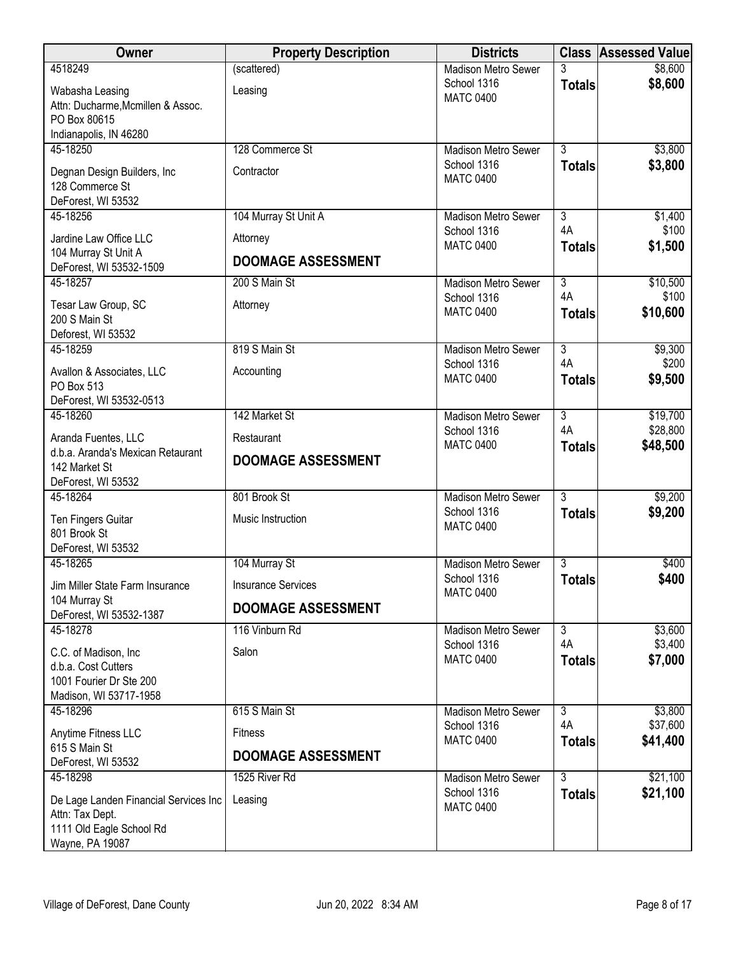| Owner                                              | <b>Property Description</b> | <b>Districts</b>                          |                      | <b>Class Assessed Value</b> |
|----------------------------------------------------|-----------------------------|-------------------------------------------|----------------------|-----------------------------|
| 4518249                                            | (scattered)                 | <b>Madison Metro Sewer</b>                | 3                    | \$8,600                     |
| Wabasha Leasing                                    | Leasing                     | School 1316<br><b>MATC 0400</b>           | <b>Totals</b>        | \$8,600                     |
| Attn: Ducharme, Mcmillen & Assoc.                  |                             |                                           |                      |                             |
| PO Box 80615<br>Indianapolis, IN 46280             |                             |                                           |                      |                             |
| 45-18250                                           | 128 Commerce St             | <b>Madison Metro Sewer</b>                | $\overline{3}$       | \$3,800                     |
| Degnan Design Builders, Inc                        | Contractor                  | School 1316                               | <b>Totals</b>        | \$3,800                     |
| 128 Commerce St                                    |                             | <b>MATC 0400</b>                          |                      |                             |
| DeForest, WI 53532                                 |                             |                                           |                      |                             |
| 45-18256                                           | 104 Murray St Unit A        | <b>Madison Metro Sewer</b>                | $\overline{3}$       | \$1,400                     |
| Jardine Law Office LLC                             | Attorney                    | School 1316<br><b>MATC 0400</b>           | 4A<br><b>Totals</b>  | \$100<br>\$1,500            |
| 104 Murray St Unit A                               | <b>DOOMAGE ASSESSMENT</b>   |                                           |                      |                             |
| DeForest, WI 53532-1509<br>45-18257                | 200 S Main St               | <b>Madison Metro Sewer</b>                | $\overline{3}$       | \$10,500                    |
|                                                    |                             | School 1316                               | 4A                   | \$100                       |
| Tesar Law Group, SC<br>200 S Main St               | Attorney                    | <b>MATC 0400</b>                          | <b>Totals</b>        | \$10,600                    |
| Deforest, WI 53532                                 |                             |                                           |                      |                             |
| 45-18259                                           | 819 S Main St               | <b>Madison Metro Sewer</b>                | $\overline{3}$       | \$9,300                     |
| Avallon & Associates, LLC                          | Accounting                  | School 1316                               | 4A                   | \$200                       |
| PO Box 513                                         |                             | <b>MATC 0400</b>                          | <b>Totals</b>        | \$9,500                     |
| DeForest, WI 53532-0513                            |                             |                                           |                      |                             |
| 45-18260                                           | 142 Market St               | <b>Madison Metro Sewer</b><br>School 1316 | $\overline{3}$<br>4A | \$19,700<br>\$28,800        |
| Aranda Fuentes, LLC                                | Restaurant                  | <b>MATC 0400</b>                          | <b>Totals</b>        | \$48,500                    |
| d.b.a. Aranda's Mexican Retaurant<br>142 Market St | <b>DOOMAGE ASSESSMENT</b>   |                                           |                      |                             |
| DeForest, WI 53532                                 |                             |                                           |                      |                             |
| 45-18264                                           | 801 Brook St                | <b>Madison Metro Sewer</b>                | $\overline{3}$       | \$9,200                     |
| Ten Fingers Guitar                                 | Music Instruction           | School 1316                               | <b>Totals</b>        | \$9,200                     |
| 801 Brook St                                       |                             | <b>MATC 0400</b>                          |                      |                             |
| DeForest, WI 53532                                 |                             |                                           |                      |                             |
| 45-18265                                           | 104 Murray St               | <b>Madison Metro Sewer</b><br>School 1316 | 3<br><b>Totals</b>   | \$400<br>\$400              |
| Jim Miller State Farm Insurance                    | <b>Insurance Services</b>   | <b>MATC 0400</b>                          |                      |                             |
| 104 Murray St<br>DeForest, WI 53532-1387           | <b>DOOMAGE ASSESSMENT</b>   |                                           |                      |                             |
| 45-18278                                           | 116 Vinburn Rd              | <b>Madison Metro Sewer</b>                | $\overline{3}$       | \$3,600                     |
| C.C. of Madison, Inc.                              | Salon                       | School 1316                               | 4A                   | \$3,400                     |
| d.b.a. Cost Cutters                                |                             | <b>MATC 0400</b>                          | <b>Totals</b>        | \$7,000                     |
| 1001 Fourier Dr Ste 200                            |                             |                                           |                      |                             |
| Madison, WI 53717-1958<br>45-18296                 | 615 S Main St               | <b>Madison Metro Sewer</b>                | $\overline{3}$       | \$3,800                     |
|                                                    |                             | School 1316                               | 4A                   | \$37,600                    |
| Anytime Fitness LLC<br>615 S Main St               | <b>Fitness</b>              | <b>MATC 0400</b>                          | <b>Totals</b>        | \$41,400                    |
| DeForest, WI 53532                                 | <b>DOOMAGE ASSESSMENT</b>   |                                           |                      |                             |
| 45-18298                                           | 1525 River Rd               | <b>Madison Metro Sewer</b>                | $\overline{3}$       | \$21,100                    |
| De Lage Landen Financial Services Inc              | Leasing                     | School 1316                               | <b>Totals</b>        | \$21,100                    |
| Attn: Tax Dept.                                    |                             | <b>MATC 0400</b>                          |                      |                             |
| 1111 Old Eagle School Rd<br>Wayne, PA 19087        |                             |                                           |                      |                             |
|                                                    |                             |                                           |                      |                             |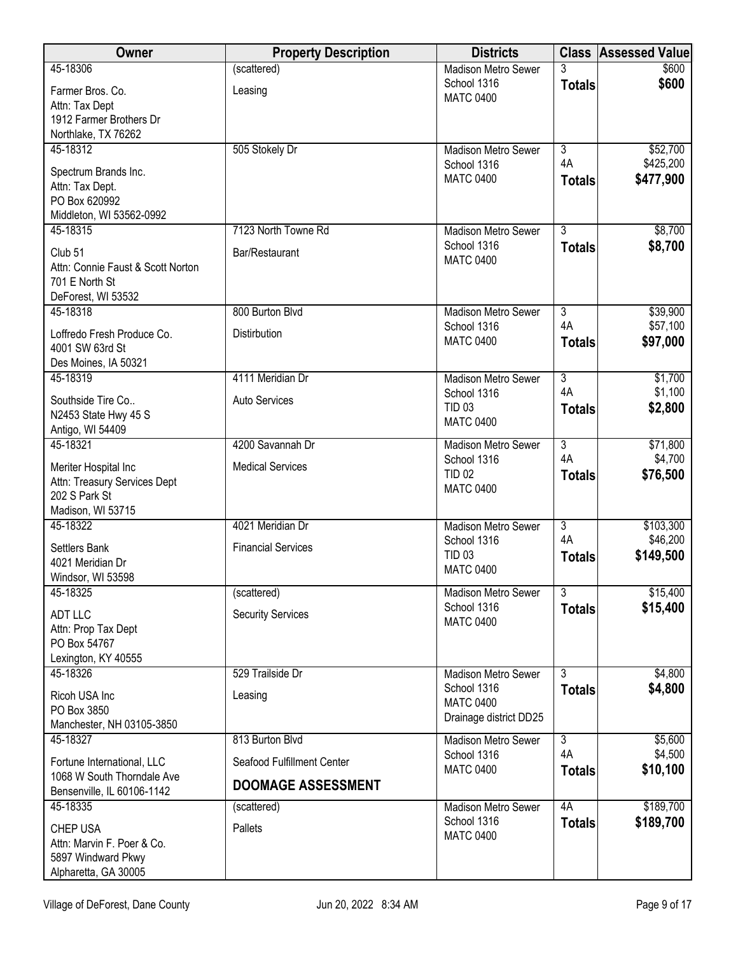| Owner                                     | <b>Property Description</b> | <b>Districts</b>                          | <b>Class</b>                    | Assessed Value       |
|-------------------------------------------|-----------------------------|-------------------------------------------|---------------------------------|----------------------|
| 45-18306                                  | (scattered)                 | <b>Madison Metro Sewer</b>                | 3                               | \$600                |
| Farmer Bros. Co.                          | Leasing                     | School 1316<br><b>MATC 0400</b>           | <b>Totals</b>                   | \$600                |
| Attn: Tax Dept<br>1912 Farmer Brothers Dr |                             |                                           |                                 |                      |
| Northlake, TX 76262                       |                             |                                           |                                 |                      |
| 45-18312                                  | 505 Stokely Dr              | <b>Madison Metro Sewer</b>                | $\overline{3}$                  | \$52,700             |
| Spectrum Brands Inc.                      |                             | School 1316<br><b>MATC 0400</b>           | 4A                              | \$425,200            |
| Attn: Tax Dept.                           |                             |                                           | <b>Totals</b>                   | \$477,900            |
| PO Box 620992<br>Middleton, WI 53562-0992 |                             |                                           |                                 |                      |
| 45-18315                                  | 7123 North Towne Rd         | <b>Madison Metro Sewer</b>                | $\overline{3}$                  | \$8,700              |
| Club <sub>51</sub>                        | Bar/Restaurant              | School 1316                               | <b>Totals</b>                   | \$8,700              |
| Attn: Connie Faust & Scott Norton         |                             | <b>MATC 0400</b>                          |                                 |                      |
| 701 E North St                            |                             |                                           |                                 |                      |
| DeForest, WI 53532<br>45-18318            | 800 Burton Blvd             | <b>Madison Metro Sewer</b>                | $\overline{3}$                  | \$39,900             |
| Loffredo Fresh Produce Co.                | Distirbution                | School 1316                               | 4A                              | \$57,100             |
| 4001 SW 63rd St                           |                             | <b>MATC 0400</b>                          | <b>Totals</b>                   | \$97,000             |
| Des Moines, IA 50321                      |                             |                                           |                                 |                      |
| 45-18319                                  | 4111 Meridian Dr            | <b>Madison Metro Sewer</b><br>School 1316 | $\overline{3}$<br>4A            | \$1,700<br>\$1,100   |
| Southside Tire Co                         | Auto Services               | <b>TID 03</b>                             | <b>Totals</b>                   | \$2,800              |
| N2453 State Hwy 45 S<br>Antigo, WI 54409  |                             | <b>MATC 0400</b>                          |                                 |                      |
| 45-18321                                  | 4200 Savannah Dr            | <b>Madison Metro Sewer</b>                | $\overline{3}$                  | \$71,800             |
| Meriter Hospital Inc                      | <b>Medical Services</b>     | School 1316                               | 4A                              | \$4,700              |
| Attn: Treasury Services Dept              |                             | <b>TID 02</b><br><b>MATC 0400</b>         | <b>Totals</b>                   | \$76,500             |
| 202 S Park St<br>Madison, WI 53715        |                             |                                           |                                 |                      |
| 45-18322                                  | 4021 Meridian Dr            | <b>Madison Metro Sewer</b>                | $\overline{3}$                  | \$103,300            |
| Settlers Bank                             | <b>Financial Services</b>   | School 1316                               | 4A                              | \$46,200             |
| 4021 Meridian Dr                          |                             | <b>TID 03</b><br><b>MATC 0400</b>         | <b>Totals</b>                   | \$149,500            |
| Windsor, WI 53598                         |                             |                                           | $\overline{\overline{3}}$       |                      |
| 45-18325                                  | (scattered)                 | Madison Metro Sewer<br>School 1316        | <b>Totals</b>                   | \$15,400<br>\$15,400 |
| <b>ADT LLC</b><br>Attn: Prop Tax Dept     | <b>Security Services</b>    | <b>MATC 0400</b>                          |                                 |                      |
| PO Box 54767                              |                             |                                           |                                 |                      |
| Lexington, KY 40555                       |                             |                                           |                                 |                      |
| 45-18326                                  | 529 Trailside Dr            | <b>Madison Metro Sewer</b><br>School 1316 | $\overline{3}$<br><b>Totals</b> | \$4,800<br>\$4,800   |
| Ricoh USA Inc<br>PO Box 3850              | Leasing                     | <b>MATC 0400</b>                          |                                 |                      |
| Manchester, NH 03105-3850                 |                             | Drainage district DD25                    |                                 |                      |
| 45-18327                                  | 813 Burton Blvd             | <b>Madison Metro Sewer</b>                | $\overline{3}$                  | \$5,600              |
| Fortune International, LLC                | Seafood Fulfillment Center  | School 1316<br><b>MATC 0400</b>           | 4A                              | \$4,500<br>\$10,100  |
| 1068 W South Thorndale Ave                | <b>DOOMAGE ASSESSMENT</b>   |                                           | <b>Totals</b>                   |                      |
| Bensenville, IL 60106-1142<br>45-18335    | (scattered)                 | <b>Madison Metro Sewer</b>                | 4A                              | \$189,700            |
| CHEP USA                                  | Pallets                     | School 1316                               | <b>Totals</b>                   | \$189,700            |
| Attn: Marvin F. Poer & Co.                |                             | <b>MATC 0400</b>                          |                                 |                      |
| 5897 Windward Pkwy                        |                             |                                           |                                 |                      |
| Alpharetta, GA 30005                      |                             |                                           |                                 |                      |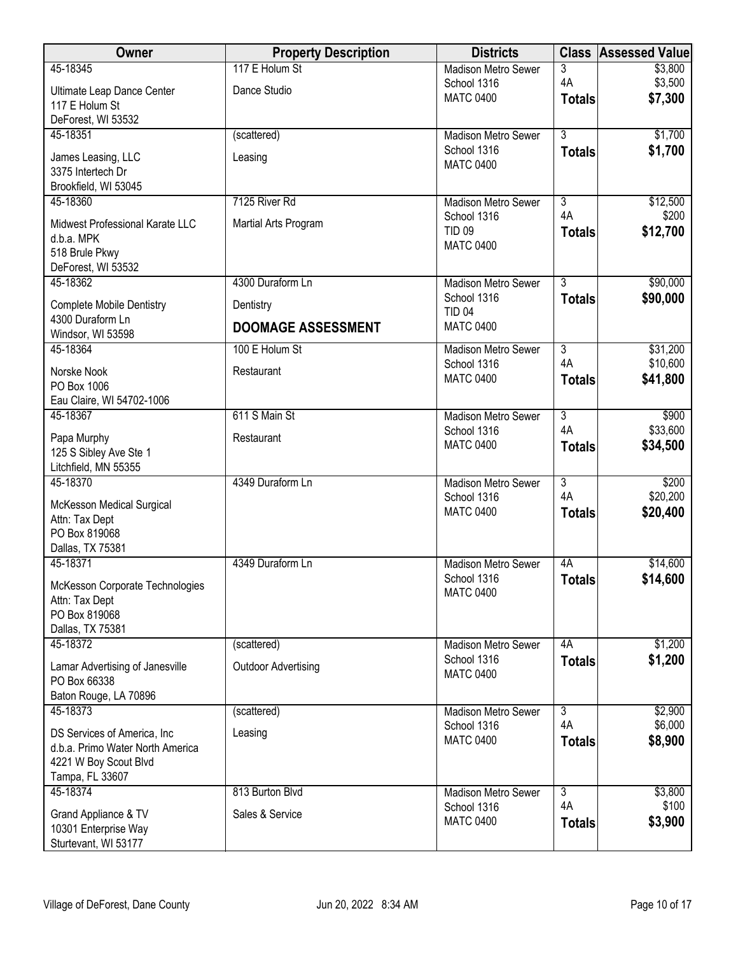| 117 E Holum St<br>45-18345<br><b>Madison Metro Sewer</b><br>3                                        | \$3,800            |
|------------------------------------------------------------------------------------------------------|--------------------|
|                                                                                                      |                    |
| 4A<br>School 1316<br>Dance Studio<br>Ultimate Leap Dance Center<br><b>MATC 0400</b>                  | \$3,500<br>\$7,300 |
| <b>Totals</b><br>117 E Holum St                                                                      |                    |
| DeForest, WI 53532<br>45-18351<br>$\overline{3}$<br><b>Madison Metro Sewer</b>                       | \$1,700            |
| (scattered)<br>School 1316<br><b>Totals</b>                                                          | \$1,700            |
| James Leasing, LLC<br>Leasing<br><b>MATC 0400</b>                                                    |                    |
| 3375 Intertech Dr<br>Brookfield, WI 53045                                                            |                    |
| 7125 River Rd<br>45-18360<br>$\overline{3}$<br><b>Madison Metro Sewer</b>                            | \$12,500           |
| 4A<br>School 1316<br>Martial Arts Program<br>Midwest Professional Karate LLC                         | \$200              |
| <b>TID 09</b><br><b>Totals</b><br>d.b.a. MPK                                                         | \$12,700           |
| <b>MATC 0400</b><br>518 Brule Pkwy                                                                   |                    |
| DeForest, WI 53532                                                                                   |                    |
| $\overline{3}$<br>45-18362<br>4300 Duraform Ln<br><b>Madison Metro Sewer</b>                         | \$90,000           |
| School 1316<br><b>Totals</b><br><b>Complete Mobile Dentistry</b><br>Dentistry<br><b>TID 04</b>       | \$90,000           |
| 4300 Duraform Ln<br><b>MATC 0400</b><br><b>DOOMAGE ASSESSMENT</b><br>Windsor, WI 53598               |                    |
| 45-18364<br>100 E Holum St<br>$\overline{3}$<br><b>Madison Metro Sewer</b>                           | \$31,200           |
| 4A<br>School 1316<br>Norske Nook<br>Restaurant                                                       | \$10,600           |
| <b>MATC 0400</b><br><b>Totals</b><br>PO Box 1006                                                     | \$41,800           |
| Eau Claire, WI 54702-1006                                                                            |                    |
| 611 S Main St<br>$\overline{3}$<br>45-18367<br><b>Madison Metro Sewer</b><br>4A                      | \$900<br>\$33,600  |
| School 1316<br>Papa Murphy<br>Restaurant<br><b>MATC 0400</b><br><b>Totals</b>                        | \$34,500           |
| 125 S Sibley Ave Ste 1                                                                               |                    |
| Litchfield, MN 55355<br>4349 Duraform Ln<br>$\overline{3}$<br>45-18370<br><b>Madison Metro Sewer</b> | \$200              |
| 4A<br>School 1316                                                                                    | \$20,200           |
| McKesson Medical Surgical<br><b>MATC 0400</b><br><b>Totals</b><br>Attn: Tax Dept                     | \$20,400           |
| PO Box 819068                                                                                        |                    |
| Dallas, TX 75381                                                                                     |                    |
| 45-18371<br>4349 Duraform Ln<br><b>Madison Metro Sewer</b><br>4A                                     | \$14,600           |
| School 1316<br><b>Totals</b><br>McKesson Corporate Technologies                                      | \$14,600           |
| <b>MATC 0400</b><br>Attn: Tax Dept                                                                   |                    |
| PO Box 819068                                                                                        |                    |
| Dallas, TX 75381<br>45-18372<br>(scattered)<br><b>Madison Metro Sewer</b><br>4A                      | \$1,200            |
| School 1316<br><b>Totals</b>                                                                         | \$1,200            |
| <b>Outdoor Advertising</b><br>Lamar Advertising of Janesville<br><b>MATC 0400</b><br>PO Box 66338    |                    |
| Baton Rouge, LA 70896                                                                                |                    |
| $\overline{3}$<br>45-18373<br>(scattered)<br><b>Madison Metro Sewer</b>                              | \$2,900            |
| 4A<br>School 1316<br>DS Services of America, Inc.<br>Leasing                                         | \$6,000            |
| <b>MATC 0400</b><br><b>Totals</b><br>d.b.a. Primo Water North America                                | \$8,900            |
| 4221 W Boy Scout Blvd                                                                                |                    |
| Tampa, FL 33607                                                                                      |                    |
| 45-18374<br>813 Burton Blvd<br>$\overline{3}$<br><b>Madison Metro Sewer</b><br>4A<br>School 1316     | \$3,800<br>\$100   |
| Sales & Service<br>Grand Appliance & TV<br><b>MATC 0400</b><br><b>Totals</b>                         | \$3,900            |
| 10301 Enterprise Way<br>Sturtevant, WI 53177                                                         |                    |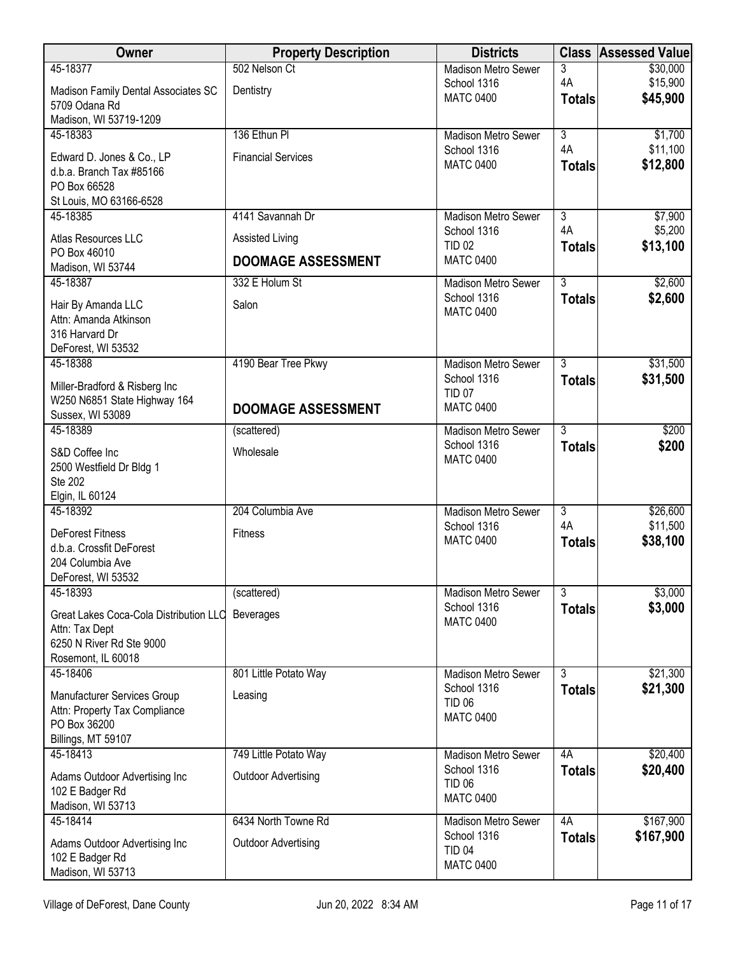| <b>Owner</b>                                     | <b>Property Description</b> | <b>Districts</b>                          |                      | <b>Class Assessed Value</b> |
|--------------------------------------------------|-----------------------------|-------------------------------------------|----------------------|-----------------------------|
| 45-18377                                         | 502 Nelson Ct               | <b>Madison Metro Sewer</b>                | 3                    | \$30,000                    |
| Madison Family Dental Associates SC              | Dentistry                   | School 1316                               | 4A                   | \$15,900                    |
| 5709 Odana Rd                                    |                             | <b>MATC 0400</b>                          | <b>Totals</b>        | \$45,900                    |
| Madison, WI 53719-1209                           |                             |                                           |                      |                             |
| 45-18383                                         | 136 Ethun PI                | <b>Madison Metro Sewer</b>                | $\overline{3}$       | \$1,700                     |
| Edward D. Jones & Co., LP                        | <b>Financial Services</b>   | School 1316                               | 4A                   | \$11,100                    |
| d.b.a. Branch Tax #85166                         |                             | <b>MATC 0400</b>                          | <b>Totals</b>        | \$12,800                    |
| PO Box 66528                                     |                             |                                           |                      |                             |
| St Louis, MO 63166-6528                          |                             |                                           |                      |                             |
| 45-18385                                         | 4141 Savannah Dr            | <b>Madison Metro Sewer</b><br>School 1316 | $\overline{3}$<br>4A | \$7,900<br>\$5,200          |
| Atlas Resources LLC                              | Assisted Living             | <b>TID 02</b>                             | <b>Totals</b>        | \$13,100                    |
| PO Box 46010                                     | <b>DOOMAGE ASSESSMENT</b>   | <b>MATC 0400</b>                          |                      |                             |
| Madison, WI 53744                                |                             |                                           |                      |                             |
| 45-18387                                         | 332 E Holum St              | <b>Madison Metro Sewer</b><br>School 1316 | $\overline{3}$       | \$2,600                     |
| Hair By Amanda LLC                               | Salon                       | <b>MATC 0400</b>                          | <b>Totals</b>        | \$2,600                     |
| Attn: Amanda Atkinson                            |                             |                                           |                      |                             |
| 316 Harvard Dr                                   |                             |                                           |                      |                             |
| DeForest, WI 53532<br>45-18388                   | 4190 Bear Tree Pkwy         | <b>Madison Metro Sewer</b>                | $\overline{3}$       | \$31,500                    |
|                                                  |                             | School 1316                               | <b>Totals</b>        | \$31,500                    |
| Miller-Bradford & Risberg Inc                    |                             | <b>TID 07</b>                             |                      |                             |
| W250 N6851 State Highway 164<br>Sussex, WI 53089 | <b>DOOMAGE ASSESSMENT</b>   | <b>MATC 0400</b>                          |                      |                             |
| 45-18389                                         | (scattered)                 | <b>Madison Metro Sewer</b>                | $\overline{3}$       | \$200                       |
|                                                  |                             | School 1316                               | <b>Totals</b>        | \$200                       |
| S&D Coffee Inc                                   | Wholesale                   | <b>MATC 0400</b>                          |                      |                             |
| 2500 Westfield Dr Bldg 1<br><b>Ste 202</b>       |                             |                                           |                      |                             |
| Elgin, IL 60124                                  |                             |                                           |                      |                             |
| 45-18392                                         | 204 Columbia Ave            | <b>Madison Metro Sewer</b>                | $\overline{3}$       | \$26,600                    |
| <b>DeForest Fitness</b>                          | Fitness                     | School 1316                               | 4A                   | \$11,500                    |
| d.b.a. Crossfit DeForest                         |                             | <b>MATC 0400</b>                          | <b>Totals</b>        | \$38,100                    |
| 204 Columbia Ave                                 |                             |                                           |                      |                             |
| DeForest, WI 53532                               |                             |                                           |                      |                             |
| 45-18393                                         | (scattered)                 | <b>Madison Metro Sewer</b>                | $\overline{3}$       | \$3,000                     |
| Great Lakes Coca-Cola Distribution LLC           | Beverages                   | School 1316                               | <b>Totals</b>        | \$3,000                     |
| Attn: Tax Dept                                   |                             | <b>MATC 0400</b>                          |                      |                             |
| 6250 N River Rd Ste 9000                         |                             |                                           |                      |                             |
| Rosemont, IL 60018                               |                             |                                           |                      |                             |
| 45-18406                                         | 801 Little Potato Way       | <b>Madison Metro Sewer</b><br>School 1316 | $\overline{3}$       | \$21,300<br>\$21,300        |
| Manufacturer Services Group                      | Leasing                     | <b>TID 06</b>                             | <b>Totals</b>        |                             |
| Attn: Property Tax Compliance                    |                             | <b>MATC 0400</b>                          |                      |                             |
| PO Box 36200<br>Billings, MT 59107               |                             |                                           |                      |                             |
| 45-18413                                         | 749 Little Potato Way       | <b>Madison Metro Sewer</b>                | 4A                   | \$20,400                    |
|                                                  |                             | School 1316                               | <b>Totals</b>        | \$20,400                    |
| Adams Outdoor Advertising Inc                    | <b>Outdoor Advertising</b>  | <b>TID 06</b>                             |                      |                             |
| 102 E Badger Rd<br>Madison, WI 53713             |                             | <b>MATC 0400</b>                          |                      |                             |
| 45-18414                                         | 6434 North Towne Rd         | <b>Madison Metro Sewer</b>                | 4A                   | \$167,900                   |
|                                                  |                             | School 1316                               | <b>Totals</b>        | \$167,900                   |
| Adams Outdoor Advertising Inc<br>102 E Badger Rd | <b>Outdoor Advertising</b>  | <b>TID 04</b>                             |                      |                             |
| Madison, WI 53713                                |                             | <b>MATC 0400</b>                          |                      |                             |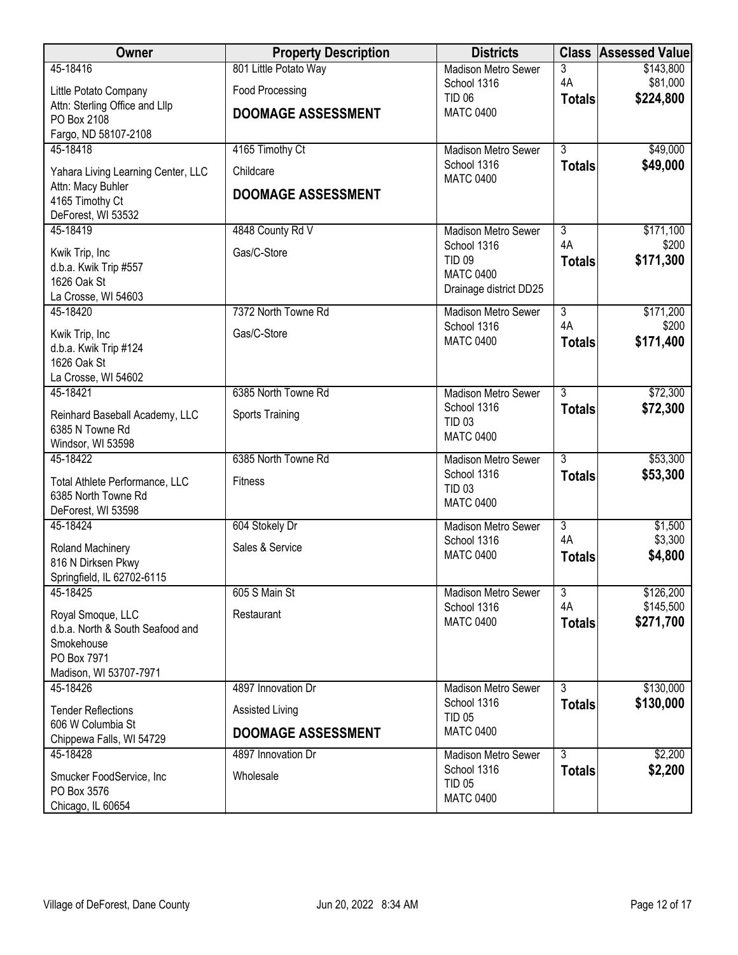| Owner                                   | <b>Property Description</b> | <b>Districts</b>                          |                                 | <b>Class Assessed Value</b> |
|-----------------------------------------|-----------------------------|-------------------------------------------|---------------------------------|-----------------------------|
| 45-18416                                | 801 Little Potato Way       | <b>Madison Metro Sewer</b>                | 3                               | \$143,800                   |
| Little Potato Company                   | <b>Food Processing</b>      | School 1316<br><b>TID 06</b>              | 4A<br><b>Totals</b>             | \$81,000<br>\$224,800       |
| Attn: Sterling Office and Lllp          | <b>DOOMAGE ASSESSMENT</b>   | <b>MATC 0400</b>                          |                                 |                             |
| PO Box 2108<br>Fargo, ND 58107-2108     |                             |                                           |                                 |                             |
| 45-18418                                | 4165 Timothy Ct             | <b>Madison Metro Sewer</b>                | $\overline{3}$                  | \$49,000                    |
| Yahara Living Learning Center, LLC      | Childcare                   | School 1316                               | <b>Totals</b>                   | \$49,000                    |
| Attn: Macy Buhler                       | <b>DOOMAGE ASSESSMENT</b>   | <b>MATC 0400</b>                          |                                 |                             |
| 4165 Timothy Ct                         |                             |                                           |                                 |                             |
| DeForest, WI 53532<br>45-18419          | 4848 County Rd V            | <b>Madison Metro Sewer</b>                | $\overline{3}$                  | \$171,100                   |
|                                         |                             | School 1316                               | 4A                              | \$200                       |
| Kwik Trip, Inc<br>d.b.a. Kwik Trip #557 | Gas/C-Store                 | <b>TID 09</b>                             | <b>Totals</b>                   | \$171,300                   |
| 1626 Oak St                             |                             | <b>MATC 0400</b>                          |                                 |                             |
| La Crosse, WI 54603                     |                             | Drainage district DD25                    |                                 |                             |
| 45-18420                                | 7372 North Towne Rd         | <b>Madison Metro Sewer</b>                | $\overline{3}$                  | \$171,200                   |
| Kwik Trip, Inc                          | Gas/C-Store                 | School 1316<br><b>MATC 0400</b>           | 4A<br><b>Totals</b>             | \$200<br>\$171,400          |
| d.b.a. Kwik Trip #124                   |                             |                                           |                                 |                             |
| 1626 Oak St<br>La Crosse, WI 54602      |                             |                                           |                                 |                             |
| 45-18421                                | 6385 North Towne Rd         | <b>Madison Metro Sewer</b>                | $\overline{3}$                  | \$72,300                    |
| Reinhard Baseball Academy, LLC          | <b>Sports Training</b>      | School 1316                               | <b>Totals</b>                   | \$72,300                    |
| 6385 N Towne Rd                         |                             | <b>TID 03</b>                             |                                 |                             |
| Windsor, WI 53598                       |                             | <b>MATC 0400</b>                          |                                 |                             |
| 45-18422                                | 6385 North Towne Rd         | <b>Madison Metro Sewer</b>                | $\overline{3}$                  | \$53,300                    |
| Total Athlete Performance, LLC          | <b>Fitness</b>              | School 1316<br><b>TID 03</b>              | <b>Totals</b>                   | \$53,300                    |
| 6385 North Towne Rd                     |                             | <b>MATC 0400</b>                          |                                 |                             |
| DeForest, WI 53598<br>45-18424          | 604 Stokely Dr              | <b>Madison Metro Sewer</b>                | $\overline{3}$                  | \$1,500                     |
|                                         |                             | School 1316                               | 4A                              | \$3,300                     |
| Roland Machinery<br>816 N Dirksen Pkwy  | Sales & Service             | <b>MATC 0400</b>                          | <b>Totals</b>                   | \$4,800                     |
| Springfield, IL 62702-6115              |                             |                                           |                                 |                             |
| 45-18425                                | 605 S Main St               | Madison Metro Sewer                       | $\overline{3}$                  | \$126,200                   |
| Royal Smoque, LLC                       | Restaurant                  | School 1316                               | 4A                              | \$145,500                   |
| d.b.a. North & South Seafood and        |                             | <b>MATC 0400</b>                          | <b>Totals</b>                   | \$271,700                   |
| Smokehouse<br>PO Box 7971               |                             |                                           |                                 |                             |
| Madison, WI 53707-7971                  |                             |                                           |                                 |                             |
| 45-18426                                | 4897 Innovation Dr          | <b>Madison Metro Sewer</b>                | $\overline{3}$                  | \$130,000                   |
| <b>Tender Reflections</b>               | Assisted Living             | School 1316                               | <b>Totals</b>                   | \$130,000                   |
| 606 W Columbia St                       | <b>DOOMAGE ASSESSMENT</b>   | <b>TID 05</b><br><b>MATC 0400</b>         |                                 |                             |
| Chippewa Falls, WI 54729                |                             |                                           |                                 |                             |
| 45-18428                                | 4897 Innovation Dr          | <b>Madison Metro Sewer</b><br>School 1316 | $\overline{3}$<br><b>Totals</b> | \$2,200<br>\$2,200          |
| Smucker FoodService, Inc                | Wholesale                   | <b>TID 05</b>                             |                                 |                             |
| PO Box 3576<br>Chicago, IL 60654        |                             | <b>MATC 0400</b>                          |                                 |                             |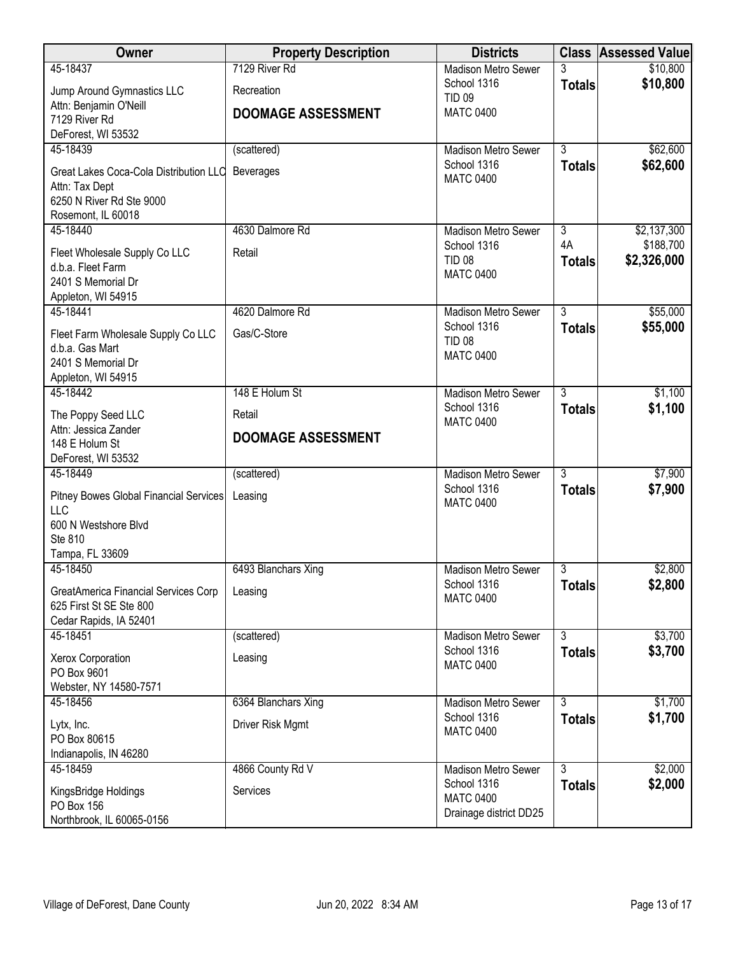| Owner                                      | <b>Property Description</b> | <b>Districts</b>                          |                      | <b>Class Assessed Value</b> |
|--------------------------------------------|-----------------------------|-------------------------------------------|----------------------|-----------------------------|
| 45-18437                                   | 7129 River Rd               | <b>Madison Metro Sewer</b>                | 3                    | \$10,800                    |
| Jump Around Gymnastics LLC                 | Recreation                  | School 1316<br><b>TID 09</b>              | <b>Totals</b>        | \$10,800                    |
| Attn: Benjamin O'Neill                     | <b>DOOMAGE ASSESSMENT</b>   | <b>MATC 0400</b>                          |                      |                             |
| 7129 River Rd<br>DeForest, WI 53532        |                             |                                           |                      |                             |
| 45-18439                                   | (scattered)                 | <b>Madison Metro Sewer</b>                | $\overline{3}$       | \$62,600                    |
| Great Lakes Coca-Cola Distribution LLC     | Beverages                   | School 1316                               | <b>Totals</b>        | \$62,600                    |
| Attn: Tax Dept                             |                             | <b>MATC 0400</b>                          |                      |                             |
| 6250 N River Rd Ste 9000                   |                             |                                           |                      |                             |
| Rosemont, IL 60018<br>45-18440             | 4630 Dalmore Rd             |                                           |                      |                             |
|                                            |                             | <b>Madison Metro Sewer</b><br>School 1316 | $\overline{3}$<br>4A | \$2,137,300<br>\$188,700    |
| Fleet Wholesale Supply Co LLC              | Retail                      | <b>TID 08</b>                             | <b>Totals</b>        | \$2,326,000                 |
| d.b.a. Fleet Farm<br>2401 S Memorial Dr    |                             | <b>MATC 0400</b>                          |                      |                             |
| Appleton, WI 54915                         |                             |                                           |                      |                             |
| 45-18441                                   | 4620 Dalmore Rd             | <b>Madison Metro Sewer</b>                | $\overline{3}$       | \$55,000                    |
| Fleet Farm Wholesale Supply Co LLC         | Gas/C-Store                 | School 1316                               | <b>Totals</b>        | \$55,000                    |
| d.b.a. Gas Mart                            |                             | <b>TID 08</b><br><b>MATC 0400</b>         |                      |                             |
| 2401 S Memorial Dr                         |                             |                                           |                      |                             |
| Appleton, WI 54915<br>45-18442             | 148 E Holum St              | <b>Madison Metro Sewer</b>                | $\overline{3}$       | \$1,100                     |
|                                            |                             | School 1316                               | <b>Totals</b>        | \$1,100                     |
| The Poppy Seed LLC<br>Attn: Jessica Zander | Retail                      | <b>MATC 0400</b>                          |                      |                             |
| 148 E Holum St                             | <b>DOOMAGE ASSESSMENT</b>   |                                           |                      |                             |
| DeForest, WI 53532                         |                             |                                           |                      |                             |
| 45-18449                                   | (scattered)                 | <b>Madison Metro Sewer</b><br>School 1316 | $\overline{3}$       | \$7,900                     |
| Pitney Bowes Global Financial Services     | Leasing                     | <b>MATC 0400</b>                          | <b>Totals</b>        | \$7,900                     |
| LLC<br>600 N Westshore Blvd                |                             |                                           |                      |                             |
| Ste 810                                    |                             |                                           |                      |                             |
| Tampa, FL 33609                            |                             |                                           |                      |                             |
| 45-18450                                   | 6493 Blanchars Xing         | <b>Madison Metro Sewer</b>                | $\overline{3}$       | \$2,800                     |
| GreatAmerica Financial Services Corp       | Leasing                     | School 1316<br><b>MATC 0400</b>           | <b>Totals</b>        | \$2,800                     |
| 625 First St SE Ste 800                    |                             |                                           |                      |                             |
| Cedar Rapids, IA 52401<br>45-18451         | (scattered)                 | Madison Metro Sewer                       | $\overline{3}$       | \$3,700                     |
|                                            |                             | School 1316                               | <b>Totals</b>        | \$3,700                     |
| Xerox Corporation<br>PO Box 9601           | Leasing                     | <b>MATC 0400</b>                          |                      |                             |
| Webster, NY 14580-7571                     |                             |                                           |                      |                             |
| 45-18456                                   | 6364 Blanchars Xing         | <b>Madison Metro Sewer</b>                | $\overline{3}$       | \$1,700                     |
| Lytx, Inc.                                 | Driver Risk Mgmt            | School 1316                               | <b>Totals</b>        | \$1,700                     |
| PO Box 80615                               |                             | <b>MATC 0400</b>                          |                      |                             |
| Indianapolis, IN 46280                     |                             |                                           | $\overline{3}$       |                             |
| 45-18459                                   | 4866 County Rd V            | Madison Metro Sewer<br>School 1316        | <b>Totals</b>        | \$2,000<br>\$2,000          |
| KingsBridge Holdings<br>PO Box 156         | Services                    | <b>MATC 0400</b>                          |                      |                             |
| Northbrook, IL 60065-0156                  |                             | Drainage district DD25                    |                      |                             |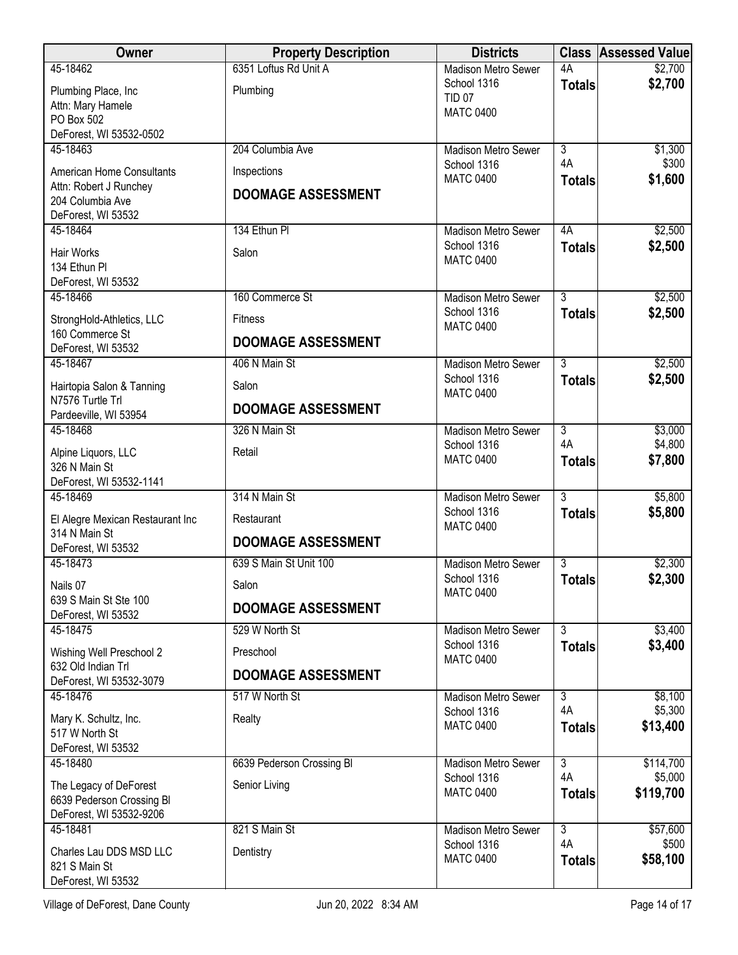| Owner                                         | <b>Property Description</b> | <b>Districts</b>                          |                                 | <b>Class Assessed Value</b> |
|-----------------------------------------------|-----------------------------|-------------------------------------------|---------------------------------|-----------------------------|
| 45-18462                                      | 6351 Loftus Rd Unit A       | <b>Madison Metro Sewer</b>                | 4A                              | \$2,700                     |
| Plumbing Place, Inc                           | Plumbing                    | School 1316                               | <b>Totals</b>                   | \$2,700                     |
| Attn: Mary Hamele                             |                             | <b>TID 07</b><br><b>MATC 0400</b>         |                                 |                             |
| PO Box 502                                    |                             |                                           |                                 |                             |
| DeForest, WI 53532-0502                       |                             |                                           |                                 |                             |
| 45-18463                                      | 204 Columbia Ave            | <b>Madison Metro Sewer</b><br>School 1316 | $\overline{3}$<br>4A            | \$1,300<br>\$300            |
| American Home Consultants                     | Inspections                 | <b>MATC 0400</b>                          | <b>Totals</b>                   | \$1,600                     |
| Attn: Robert J Runchey                        | <b>DOOMAGE ASSESSMENT</b>   |                                           |                                 |                             |
| 204 Columbia Ave                              |                             |                                           |                                 |                             |
| DeForest, WI 53532<br>45-18464                | 134 Ethun Pl                | <b>Madison Metro Sewer</b>                | 4A                              | \$2,500                     |
|                                               |                             | School 1316                               | <b>Totals</b>                   | \$2,500                     |
| <b>Hair Works</b>                             | Salon                       | <b>MATC 0400</b>                          |                                 |                             |
| 134 Ethun Pl<br>DeForest, WI 53532            |                             |                                           |                                 |                             |
| 45-18466                                      | 160 Commerce St             | <b>Madison Metro Sewer</b>                | $\overline{3}$                  | \$2,500                     |
|                                               |                             | School 1316                               | <b>Totals</b>                   | \$2,500                     |
| StrongHold-Athletics, LLC<br>160 Commerce St  | <b>Fitness</b>              | <b>MATC 0400</b>                          |                                 |                             |
| DeForest, WI 53532                            | <b>DOOMAGE ASSESSMENT</b>   |                                           |                                 |                             |
| 45-18467                                      | 406 N Main St               | <b>Madison Metro Sewer</b>                | $\overline{3}$                  | \$2,500                     |
| Hairtopia Salon & Tanning                     | Salon                       | School 1316                               | <b>Totals</b>                   | \$2,500                     |
| N7576 Turtle Trl                              |                             | <b>MATC 0400</b>                          |                                 |                             |
| Pardeeville, WI 53954                         | <b>DOOMAGE ASSESSMENT</b>   |                                           |                                 |                             |
| 45-18468                                      | 326 N Main St               | <b>Madison Metro Sewer</b>                | $\overline{3}$                  | \$3,000                     |
| Alpine Liquors, LLC                           | Retail                      | School 1316                               | 4A                              | \$4,800                     |
| 326 N Main St                                 |                             | <b>MATC 0400</b>                          | <b>Totals</b>                   | \$7,800                     |
| DeForest, WI 53532-1141                       |                             |                                           |                                 |                             |
| 45-18469                                      | 314 N Main St               | <b>Madison Metro Sewer</b>                | $\overline{3}$                  | \$5,800                     |
| El Alegre Mexican Restaurant Inc              | Restaurant                  | School 1316                               | <b>Totals</b>                   | \$5,800                     |
| 314 N Main St                                 |                             | <b>MATC 0400</b>                          |                                 |                             |
| DeForest, WI 53532                            | <b>DOOMAGE ASSESSMENT</b>   |                                           |                                 |                             |
| 45-18473                                      | 639 S Main St Unit 100      | <b>Madison Metro Sewer</b>                | 3                               | \$2,300                     |
| Nails 07                                      | Salon                       | School 1316<br><b>MATC 0400</b>           | <b>Totals</b>                   | \$2,300                     |
| 639 S Main St Ste 100                         | <b>DOOMAGE ASSESSMENT</b>   |                                           |                                 |                             |
| DeForest, WI 53532                            |                             |                                           |                                 |                             |
| 45-18475                                      | 529 W North St              | <b>Madison Metro Sewer</b><br>School 1316 | $\overline{3}$<br><b>Totals</b> | \$3,400<br>\$3,400          |
| Wishing Well Preschool 2                      | Preschool                   | <b>MATC 0400</b>                          |                                 |                             |
| 632 Old Indian Trl<br>DeForest, WI 53532-3079 | <b>DOOMAGE ASSESSMENT</b>   |                                           |                                 |                             |
| 45-18476                                      | 517 W North St              | <b>Madison Metro Sewer</b>                | $\overline{3}$                  | \$8,100                     |
| Mary K. Schultz, Inc.                         | Realty                      | School 1316                               | 4A                              | \$5,300                     |
| 517 W North St                                |                             | <b>MATC 0400</b>                          | <b>Totals</b>                   | \$13,400                    |
| DeForest, WI 53532                            |                             |                                           |                                 |                             |
| 45-18480                                      | 6639 Pederson Crossing BI   | <b>Madison Metro Sewer</b>                | $\overline{3}$                  | \$114,700                   |
| The Legacy of DeForest                        | Senior Living               | School 1316                               | 4A                              | \$5,000                     |
| 6639 Pederson Crossing BI                     |                             | <b>MATC 0400</b>                          | <b>Totals</b>                   | \$119,700                   |
| DeForest, WI 53532-9206                       |                             |                                           |                                 |                             |
| 45-18481                                      | 821 S Main St               | <b>Madison Metro Sewer</b>                | $\overline{3}$                  | \$57,600                    |
| Charles Lau DDS MSD LLC                       | Dentistry                   | School 1316                               | 4A                              | \$500                       |
| 821 S Main St                                 |                             | <b>MATC 0400</b>                          | <b>Totals</b>                   | \$58,100                    |
| DeForest, WI 53532                            |                             |                                           |                                 |                             |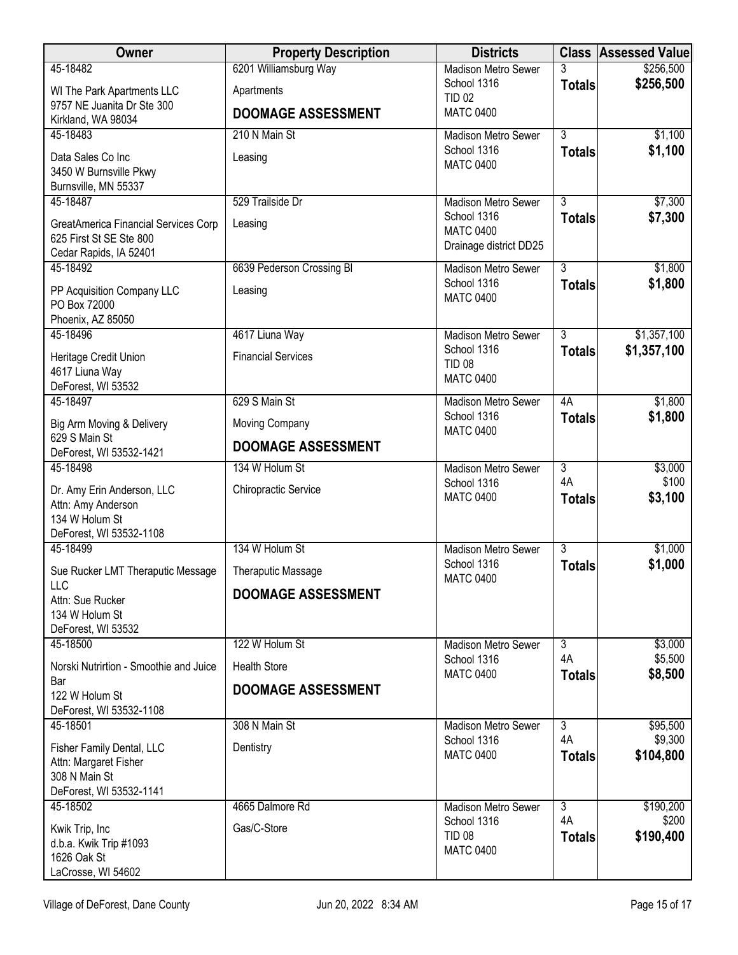| Owner                                                                                          | <b>Property Description</b> | <b>Districts</b>                                          |                     | <b>Class Assessed Value</b> |
|------------------------------------------------------------------------------------------------|-----------------------------|-----------------------------------------------------------|---------------------|-----------------------------|
| 45-18482                                                                                       | 6201 Williamsburg Way       | <b>Madison Metro Sewer</b>                                | 3                   | \$256,500                   |
| WI The Park Apartments LLC                                                                     | Apartments                  | School 1316<br><b>TID 02</b>                              | <b>Totals</b>       | \$256,500                   |
| 9757 NE Juanita Dr Ste 300<br>Kirkland, WA 98034                                               | <b>DOOMAGE ASSESSMENT</b>   | <b>MATC 0400</b>                                          |                     |                             |
| 45-18483                                                                                       | 210 N Main St               | <b>Madison Metro Sewer</b>                                | $\overline{3}$      | \$1,100                     |
| Data Sales Co Inc<br>3450 W Burnsville Pkwy<br>Burnsville, MN 55337                            | Leasing                     | School 1316<br><b>MATC 0400</b>                           | <b>Totals</b>       | \$1,100                     |
| 45-18487                                                                                       | 529 Trailside Dr            | <b>Madison Metro Sewer</b>                                | $\overline{3}$      | \$7,300                     |
| GreatAmerica Financial Services Corp<br>625 First St SE Ste 800<br>Cedar Rapids, IA 52401      | Leasing                     | School 1316<br><b>MATC 0400</b><br>Drainage district DD25 | <b>Totals</b>       | \$7,300                     |
| 45-18492                                                                                       | 6639 Pederson Crossing Bl   | <b>Madison Metro Sewer</b>                                | $\overline{3}$      | \$1,800                     |
| PP Acquisition Company LLC<br>PO Box 72000                                                     | Leasing                     | School 1316<br><b>MATC 0400</b>                           | <b>Totals</b>       | \$1,800                     |
| Phoenix, AZ 85050<br>45-18496                                                                  | 4617 Liuna Way              | <b>Madison Metro Sewer</b>                                | $\overline{3}$      | \$1,357,100                 |
| Heritage Credit Union<br>4617 Liuna Way                                                        | <b>Financial Services</b>   | School 1316<br><b>TID 08</b><br><b>MATC 0400</b>          | <b>Totals</b>       | \$1,357,100                 |
| DeForest, WI 53532<br>45-18497                                                                 | 629 S Main St               | <b>Madison Metro Sewer</b>                                | 4A                  | \$1,800                     |
| Big Arm Moving & Delivery                                                                      | Moving Company              | School 1316<br><b>MATC 0400</b>                           | <b>Totals</b>       | \$1,800                     |
| 629 S Main St<br>DeForest, WI 53532-1421                                                       | <b>DOOMAGE ASSESSMENT</b>   |                                                           |                     |                             |
| 45-18498                                                                                       | 134 W Holum St              | <b>Madison Metro Sewer</b>                                | $\overline{3}$      | \$3,000                     |
| Dr. Amy Erin Anderson, LLC<br>Attn: Amy Anderson<br>134 W Holum St<br>DeForest, WI 53532-1108  | Chiropractic Service        | School 1316<br><b>MATC 0400</b>                           | 4A<br><b>Totals</b> | \$100<br>\$3,100            |
| 45-18499                                                                                       | 134 W Holum St              | <b>Madison Metro Sewer</b>                                | $\overline{3}$      | \$1,000                     |
| Sue Rucker LMT Theraputic Message                                                              | <b>Theraputic Massage</b>   | School 1316<br><b>MATC 0400</b>                           | <b>Totals</b>       | \$1,000                     |
| LLC<br>Attn: Sue Rucker<br>134 W Holum St<br>DeForest, WI 53532                                | <b>DOOMAGE ASSESSMENT</b>   |                                                           |                     |                             |
| 45-18500                                                                                       | 122 W Holum St              | <b>Madison Metro Sewer</b>                                | $\overline{3}$      | \$3,000                     |
| Norski Nutrirtion - Smoothie and Juice                                                         | <b>Health Store</b>         | School 1316<br><b>MATC 0400</b>                           | 4A<br><b>Totals</b> | \$5,500<br>\$8,500          |
| Bar<br>122 W Holum St<br>DeForest, WI 53532-1108                                               | <b>DOOMAGE ASSESSMENT</b>   |                                                           |                     |                             |
| 45-18501                                                                                       | 308 N Main St               | <b>Madison Metro Sewer</b>                                | $\overline{3}$      | \$95,500                    |
| Fisher Family Dental, LLC<br>Attn: Margaret Fisher<br>308 N Main St<br>DeForest, WI 53532-1141 | Dentistry                   | School 1316<br><b>MATC 0400</b>                           | 4A<br><b>Totals</b> | \$9,300<br>\$104,800        |
| 45-18502                                                                                       | 4665 Dalmore Rd             | <b>Madison Metro Sewer</b>                                | $\overline{3}$      | \$190,200                   |
| Kwik Trip, Inc<br>d.b.a. Kwik Trip #1093<br>1626 Oak St<br>LaCrosse, WI 54602                  | Gas/C-Store                 | School 1316<br><b>TID 08</b><br><b>MATC 0400</b>          | 4A<br><b>Totals</b> | \$200<br>\$190,400          |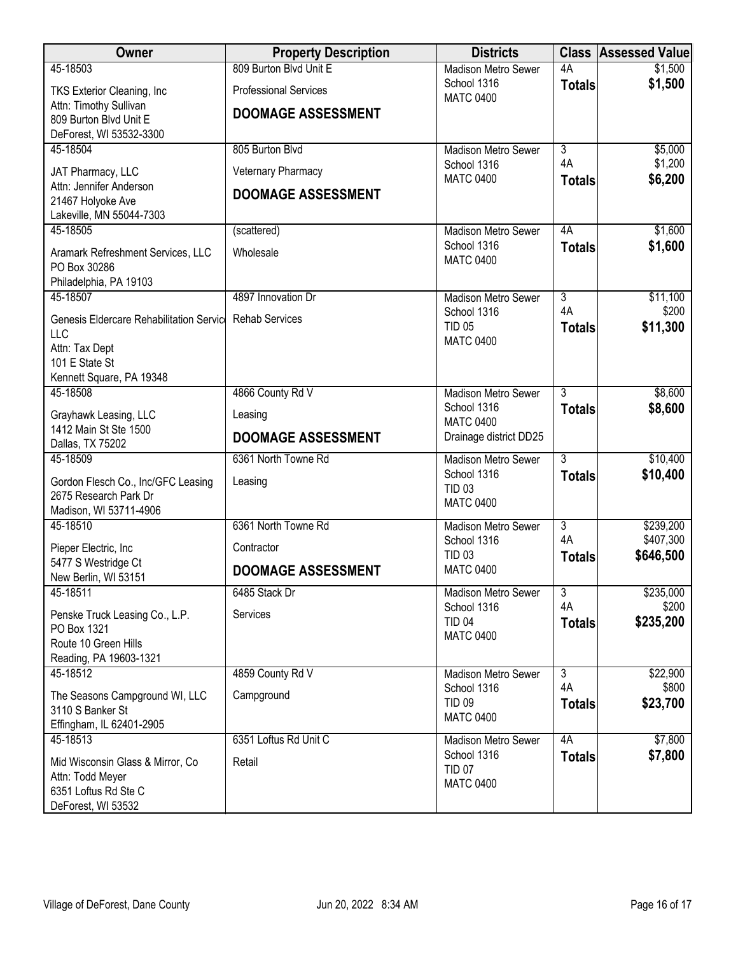| Owner                                            | <b>Property Description</b>  | <b>Districts</b>                          |                      | <b>Class Assessed Value</b> |
|--------------------------------------------------|------------------------------|-------------------------------------------|----------------------|-----------------------------|
| 45-18503                                         | 809 Burton Blvd Unit E       | <b>Madison Metro Sewer</b>                | 4A                   | \$1,500                     |
| TKS Exterior Cleaning, Inc                       | <b>Professional Services</b> | School 1316<br><b>MATC 0400</b>           | <b>Totals</b>        | \$1,500                     |
| Attn: Timothy Sullivan<br>809 Burton Blvd Unit E | <b>DOOMAGE ASSESSMENT</b>    |                                           |                      |                             |
| DeForest, WI 53532-3300                          |                              |                                           |                      |                             |
| 45-18504                                         | 805 Burton Blvd              | <b>Madison Metro Sewer</b>                | $\overline{3}$       | \$5,000                     |
| JAT Pharmacy, LLC                                | Veternary Pharmacy           | School 1316                               | 4A                   | \$1,200                     |
| Attn: Jennifer Anderson                          | <b>DOOMAGE ASSESSMENT</b>    | <b>MATC 0400</b>                          | <b>Totals</b>        | \$6,200                     |
| 21467 Holyoke Ave<br>Lakeville, MN 55044-7303    |                              |                                           |                      |                             |
| 45-18505                                         | (scattered)                  | <b>Madison Metro Sewer</b>                | 4A                   | \$1,600                     |
| Aramark Refreshment Services, LLC                | Wholesale                    | School 1316                               | <b>Totals</b>        | \$1,600                     |
| PO Box 30286                                     |                              | <b>MATC 0400</b>                          |                      |                             |
| Philadelphia, PA 19103                           |                              |                                           |                      |                             |
| 45-18507                                         | 4897 Innovation Dr           | <b>Madison Metro Sewer</b><br>School 1316 | $\overline{3}$<br>4A | \$11,100<br>\$200           |
| Genesis Eldercare Rehabilitation Service         | <b>Rehab Services</b>        | <b>TID 05</b>                             | <b>Totals</b>        | \$11,300                    |
| LLC<br>Attn: Tax Dept                            |                              | <b>MATC 0400</b>                          |                      |                             |
| 101 E State St                                   |                              |                                           |                      |                             |
| Kennett Square, PA 19348                         |                              |                                           |                      |                             |
| 45-18508                                         | 4866 County Rd V             | <b>Madison Metro Sewer</b><br>School 1316 | $\overline{3}$       | \$8,600                     |
| Grayhawk Leasing, LLC                            | Leasing                      | <b>MATC 0400</b>                          | <b>Totals</b>        | \$8,600                     |
| 1412 Main St Ste 1500<br>Dallas, TX 75202        | <b>DOOMAGE ASSESSMENT</b>    | Drainage district DD25                    |                      |                             |
| 45-18509                                         | 6361 North Towne Rd          | <b>Madison Metro Sewer</b>                | $\overline{3}$       | \$10,400                    |
| Gordon Flesch Co., Inc/GFC Leasing               | Leasing                      | School 1316                               | <b>Totals</b>        | \$10,400                    |
| 2675 Research Park Dr                            |                              | <b>TID 03</b><br><b>MATC 0400</b>         |                      |                             |
| Madison, WI 53711-4906                           |                              |                                           |                      |                             |
| 45-18510                                         | 6361 North Towne Rd          | <b>Madison Metro Sewer</b><br>School 1316 | $\overline{3}$<br>4A | \$239,200<br>\$407,300      |
| Pieper Electric, Inc.                            | Contractor                   | <b>TID 03</b>                             | <b>Totals</b>        | \$646,500                   |
| 5477 S Westridge Ct<br>New Berlin, WI 53151      | <b>DOOMAGE ASSESSMENT</b>    | <b>MATC 0400</b>                          |                      |                             |
| 45-18511                                         | 6485 Stack Dr                | Madison Metro Sewer                       | $\overline{3}$       | \$235,000                   |
| Penske Truck Leasing Co., L.P.                   | Services                     | School 1316                               | 4A                   | \$200                       |
| PO Box 1321                                      |                              | <b>TID 04</b><br><b>MATC 0400</b>         | <b>Totals</b>        | \$235,200                   |
| Route 10 Green Hills<br>Reading, PA 19603-1321   |                              |                                           |                      |                             |
| 45-18512                                         | 4859 County Rd V             | <b>Madison Metro Sewer</b>                | $\overline{3}$       | \$22,900                    |
| The Seasons Campground WI, LLC                   | Campground                   | School 1316                               | 4A                   | \$800                       |
| 3110 S Banker St                                 |                              | <b>TID 09</b>                             | <b>Totals</b>        | \$23,700                    |
| Effingham, IL 62401-2905                         |                              | <b>MATC 0400</b>                          |                      |                             |
| 45-18513                                         | 6351 Loftus Rd Unit C        | Madison Metro Sewer                       | 4A                   | \$7,800                     |
| Mid Wisconsin Glass & Mirror, Co                 | Retail                       | School 1316<br><b>TID 07</b>              | <b>Totals</b>        | \$7,800                     |
| Attn: Todd Meyer<br>6351 Loftus Rd Ste C         |                              | <b>MATC 0400</b>                          |                      |                             |
| DeForest, WI 53532                               |                              |                                           |                      |                             |